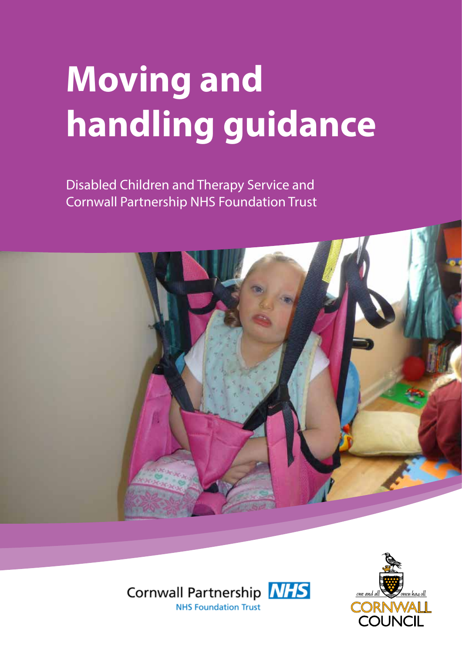# **Moving and handling guidance**

Disabled Children and Therapy Service and Cornwall Partnership NHS Foundation Trust





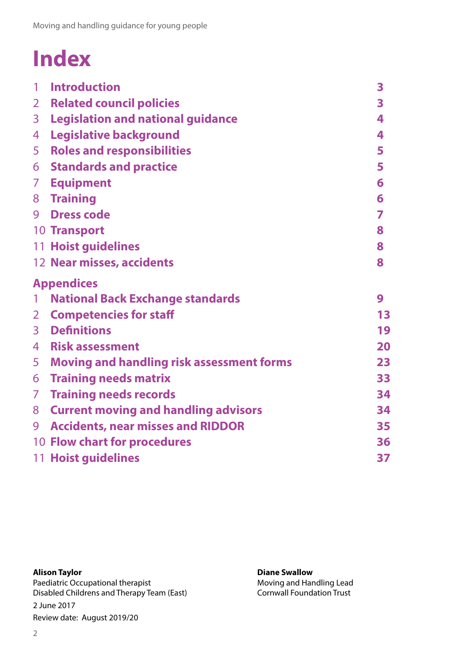### **Index**

| 1                | <b>Introduction</b>                         | $\overline{\mathbf{3}}$ |
|------------------|---------------------------------------------|-------------------------|
| 2 <sup>7</sup>   | <b>Related council policies</b>             | 3                       |
| 3 <sup>7</sup>   | <b>Legislation and national guidance</b>    | 4                       |
| 4                | <b>Legislative background</b>               | 4                       |
| 5                | <b>Roles and responsibilities</b>           | 5                       |
|                  | <b>6 Standards and practice</b>             | 5                       |
|                  | 7 Equipment                                 | 6                       |
|                  | 8 Training                                  | 6                       |
| 9                | <b>Dress code</b>                           | 7                       |
|                  | <b>10 Transport</b>                         | 8                       |
|                  | <b>11 Hoist guidelines</b>                  | 8                       |
|                  | 12 Near misses, accidents                   | 8                       |
|                  |                                             |                         |
|                  | <b>Appendices</b>                           |                         |
| $\mathbf{1}$     | <b>National Back Exchange standards</b>     | 9                       |
| $2 \overline{ }$ | <b>Competencies for staff</b>               | 13                      |
|                  | <b>3</b> Definitions                        | 19                      |
|                  | 4 Risk assessment                           | 20                      |
|                  | 5 Moving and handling risk assessment forms | 23                      |
|                  | <b>6 Training needs matrix</b>              | 33                      |
|                  | 7 Training needs records                    | 34                      |
|                  | 8 Current moving and handling advisors      | 34                      |
|                  | 9 Accidents, near misses and RIDDOR         | 35                      |
|                  | 10 Flow chart for procedures                | 36                      |

#### **Alison Taylor**

Paediatric Occupational therapist Disabled Childrens and Therapy Team (East) 2 June 2017 Review date: August 2019/20

#### **Diane Swallow**

Moving and Handling Lead Cornwall Foundation Trust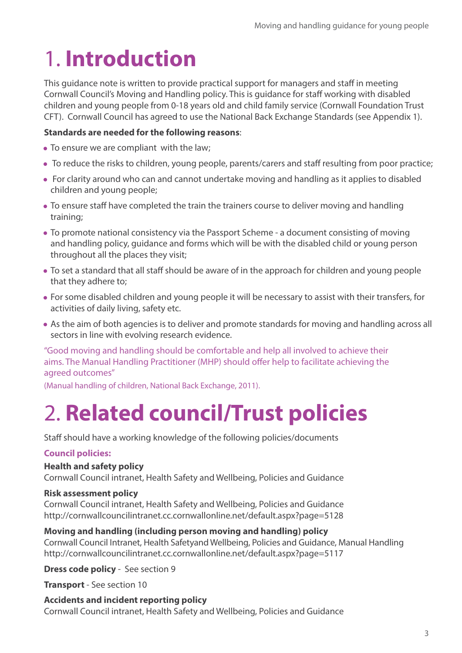### 1. **Introduction**

This guidance note is written to provide practical support for managers and staff in meeting Cornwall Council's Moving and Handling policy. This is guidance for staff working with disabled children and young people from 0-18 years old and child family service (Cornwall Foundation Trust CFT). Cornwall Council has agreed to use the National Back Exchange Standards (see Appendix 1).

#### **Standards are needed for the following reasons**:

- To ensure we are compliant with the law;
- To reduce the risks to children, young people, parents/carers and staff resulting from poor practice;
- For clarity around who can and cannot undertake moving and handling as it applies to disabled children and young people;
- To ensure staff have completed the train the trainers course to deliver moving and handling training;
- To promote national consistency via the Passport Scheme a document consisting of moving and handling policy, guidance and forms which will be with the disabled child or young person throughout all the places they visit;
- To set a standard that all staff should be aware of in the approach for children and young people that they adhere to;
- For some disabled children and young people it will be necessary to assist with their transfers, for activities of daily living, safety etc.
- As the aim of both agencies is to deliver and promote standards for moving and handling across all sectors in line with evolving research evidence.

"Good moving and handling should be comfortable and help all involved to achieve their aims. The Manual Handling Practitioner (MHP) should offer help to facilitate achieving the agreed outcomes"

(Manual handling of children, National Back Exchange, 2011).

### 2. **Related council/Trust policies**

Staff should have a working knowledge of the following policies/documents

#### **Council policies:**

#### **Health and safety policy**

Cornwall Council intranet, Health Safety and Wellbeing, Policies and Guidance

#### **Risk assessment policy**

Cornwall Council intranet, Health Safety and Wellbeing, Policies and Guidance http://cornwallcouncilintranet.cc.cornwallonline.net/default.aspx?page=5128

#### **Moving and handling (including person moving and handling) policy**

Cornwall Council Intranet, Health Safetyand Wellbeing, Policies and Guidance, Manual Handling http://cornwallcouncilintranet.cc.cornwallonline.net/default.aspx?page=5117

**Dress code policy** - See section 9

**Transport** - See section 10

#### **Accidents and incident reporting policy** Cornwall Council intranet, Health Safety and Wellbeing, Policies and Guidance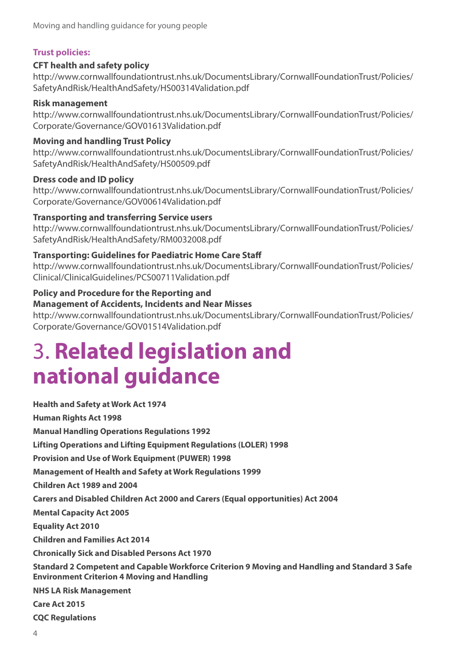#### **Trust policies:**

#### **CFT health and safety policy**

http://www.cornwallfoundationtrust.nhs.uk/DocumentsLibrary/CornwallFoundationTrust/Policies/ SafetyAndRisk/HealthAndSafety/HS00314Validation.pdf

#### **Risk management**

http://www.cornwallfoundationtrust.nhs.uk/DocumentsLibrary/CornwallFoundationTrust/Policies/ Corporate/Governance/GOV01613Validation.pdf

#### **Moving and handling Trust Policy**

http://www.cornwallfoundationtrust.nhs.uk/DocumentsLibrary/CornwallFoundationTrust/Policies/ SafetyAndRisk/HealthAndSafety/HS00509.pdf

#### **Dress code and ID policy**

http://www.cornwallfoundationtrust.nhs.uk/DocumentsLibrary/CornwallFoundationTrust/Policies/ Corporate/Governance/GOV00614Validation.pdf

#### **Transporting and transferring Service users**

http://www.cornwallfoundationtrust.nhs.uk/DocumentsLibrary/CornwallFoundationTrust/Policies/ SafetyAndRisk/HealthAndSafety/RM0032008.pdf

#### **Transporting: Guidelines for Paediatric Home Care Staff**

http://www.cornwallfoundationtrust.nhs.uk/DocumentsLibrary/CornwallFoundationTrust/Policies/ Clinical/ClinicalGuidelines/PCS00711Validation.pdf

#### **Policy and Procedure for the Reporting and**

#### **Management of Accidents, Incidents and Near Misses**

http://www.cornwallfoundationtrust.nhs.uk/DocumentsLibrary/CornwallFoundationTrust/Policies/ Corporate/Governance/GOV01514Validation.pdf

### 3. **Related legislation and national guidance**

**Health and Safety at Work Act 1974 Human Rights Act 1998 Manual Handling Operations Regulations 1992 Lifting Operations and Lifting Equipment Regulations (LOLER) 1998 Provision and Use of Work Equipment (PUWER) 1998 Management of Health and Safety at Work Regulations 1999 Children Act 1989 and 2004 Carers and Disabled Children Act 2000 and Carers (Equal opportunities) Act 2004 Mental Capacity Act 2005 Equality Act 2010 Children and Families Act 2014 Chronically Sick and Disabled Persons Act 1970 Standard 2 Competent and Capable Workforce Criterion 9 Moving and Handling and Standard 3 Safe Environment Criterion 4 Moving and Handling NHS LA Risk Management Care Act 2015 CQC Regulations**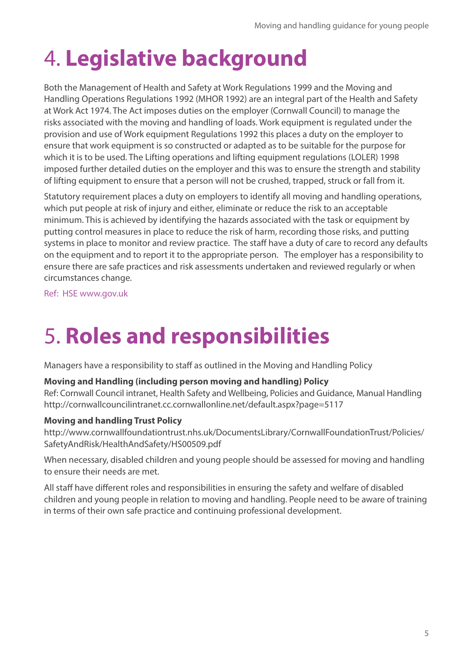# 4. **Legislative background**

Both the Management of Health and Safety at Work Regulations 1999 and the Moving and Handling Operations Regulations 1992 (MHOR 1992) are an integral part of the Health and Safety at Work Act 1974. The Act imposes duties on the employer (Cornwall Council) to manage the risks associated with the moving and handling of loads. Work equipment is regulated under the provision and use of Work equipment Regulations 1992 this places a duty on the employer to ensure that work equipment is so constructed or adapted as to be suitable for the purpose for which it is to be used. The Lifting operations and lifting equipment regulations (LOLER) 1998 imposed further detailed duties on the employer and this was to ensure the strength and stability of lifting equipment to ensure that a person will not be crushed, trapped, struck or fall from it.

Statutory requirement places a duty on employers to identify all moving and handling operations, which put people at risk of injury and either, eliminate or reduce the risk to an acceptable minimum. This is achieved by identifying the hazards associated with the task or equipment by putting control measures in place to reduce the risk of harm, recording those risks, and putting systems in place to monitor and review practice. The staff have a duty of care to record any defaults on the equipment and to report it to the appropriate person. The employer has a responsibility to ensure there are safe practices and risk assessments undertaken and reviewed regularly or when circumstances change.

Ref: HSE www.gov.uk

### 5. **Roles and responsibilities**

Managers have a responsibility to staff as outlined in the Moving and Handling Policy

#### **Moving and Handling (including person moving and handling) Policy**

Ref: Cornwall Council intranet, Health Safety and Wellbeing, Policies and Guidance, Manual Handling http://cornwallcouncilintranet.cc.cornwallonline.net/default.aspx?page=5117

#### **Moving and handling Trust Policy**

http://www.cornwallfoundationtrust.nhs.uk/DocumentsLibrary/CornwallFoundationTrust/Policies/ SafetyAndRisk/HealthAndSafety/HS00509.pdf

When necessary, disabled children and young people should be assessed for moving and handling to ensure their needs are met.

All staff have different roles and responsibilities in ensuring the safety and welfare of disabled children and young people in relation to moving and handling. People need to be aware of training in terms of their own safe practice and continuing professional development.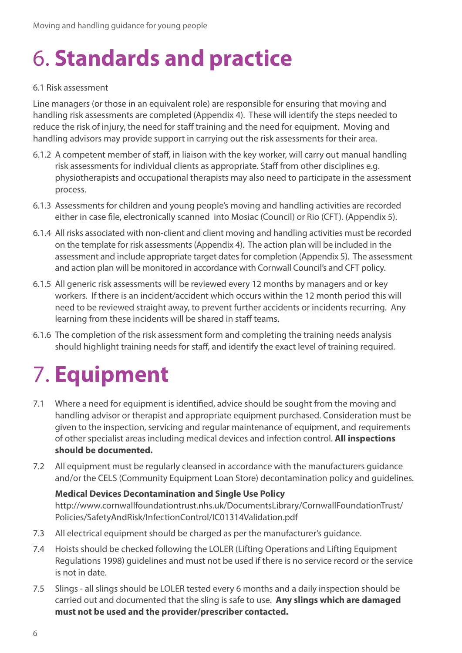### 6. **Standards and practice**

#### 6.1 Risk assessment

Line managers (or those in an equivalent role) are responsible for ensuring that moving and handling risk assessments are completed (Appendix 4). These will identify the steps needed to reduce the risk of injury, the need for staff training and the need for equipment. Moving and handling advisors may provide support in carrying out the risk assessments for their area.

- 6.1.2 A competent member of staff, in liaison with the key worker, will carry out manual handling risk assessments for individual clients as appropriate. Staff from other disciplines e.g. physiotherapists and occupational therapists may also need to participate in the assessment process.
- 6.1.3 Assessments for children and young people's moving and handling activities are recorded either in case file, electronically scanned into Mosiac (Council) or Rio (CFT). (Appendix 5).
- 6.1.4 All risks associated with non-client and client moving and handling activities must be recorded on the template for risk assessments (Appendix 4). The action plan will be included in the assessment and include appropriate target dates for completion (Appendix 5). The assessment and action plan will be monitored in accordance with Cornwall Council's and CFT policy.
- 6.1.5 All generic risk assessments will be reviewed every 12 months by managers and or key workers. If there is an incident/accident which occurs within the 12 month period this will need to be reviewed straight away, to prevent further accidents or incidents recurring. Any learning from these incidents will be shared in staff teams.
- 6.1.6 The completion of the risk assessment form and completing the training needs analysis should highlight training needs for staff, and identify the exact level of training required.

### 7. **Equipment**

- 7.1 Where a need for equipment is identified, advice should be sought from the moving and handling advisor or therapist and appropriate equipment purchased. Consideration must be given to the inspection, servicing and regular maintenance of equipment, and requirements of other specialist areas including medical devices and infection control. **All inspections should be documented.**
- 7.2 All equipment must be regularly cleansed in accordance with the manufacturers guidance and/or the CELS (Community Equipment Loan Store) decontamination policy and guidelines.

#### **Medical Devices Decontamination and Single Use Policy**

http://www.cornwallfoundationtrust.nhs.uk/DocumentsLibrary/CornwallFoundationTrust/ Policies/SafetyAndRisk/InfectionControl/IC01314Validation.pdf

- 7.3 All electrical equipment should be charged as per the manufacturer's guidance.
- 7.4 Hoists should be checked following the LOLER (Lifting Operations and Lifting Equipment Regulations 1998) guidelines and must not be used if there is no service record or the service is not in date.
- 7.5 Slings all slings should be LOLER tested every 6 months and a daily inspection should be carried out and documented that the sling is safe to use. **Any slings which are damaged must not be used and the provider/prescriber contacted.**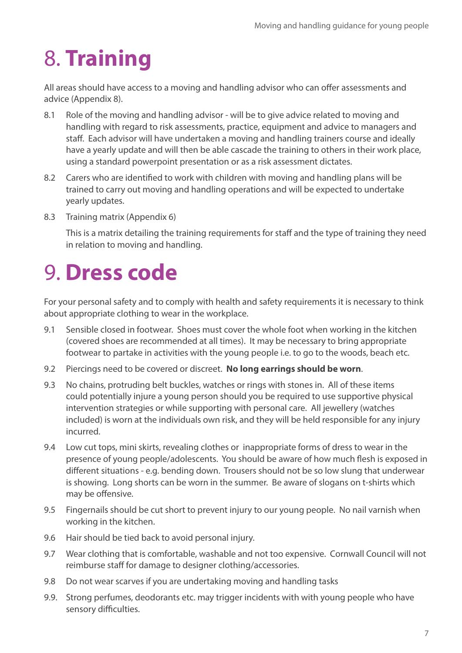### 8. **Training**

All areas should have access to a moving and handling advisor who can offer assessments and advice (Appendix 8).

- 8.1 Role of the moving and handling advisor will be to give advice related to moving and handling with regard to risk assessments, practice, equipment and advice to managers and staff. Each advisor will have undertaken a moving and handling trainers course and ideally have a yearly update and will then be able cascade the training to others in their work place, using a standard powerpoint presentation or as a risk assessment dictates.
- 8.2 Carers who are identified to work with children with moving and handling plans will be trained to carry out moving and handling operations and will be expected to undertake yearly updates.
- 8.3 Training matrix (Appendix 6)

This is a matrix detailing the training requirements for staff and the type of training they need in relation to moving and handling.

### 9. **Dress code**

For your personal safety and to comply with health and safety requirements it is necessary to think about appropriate clothing to wear in the workplace.

- 9.1 Sensible closed in footwear. Shoes must cover the whole foot when working in the kitchen (covered shoes are recommended at all times). It may be necessary to bring appropriate footwear to partake in activities with the young people i.e. to go to the woods, beach etc.
- 9.2 Piercings need to be covered or discreet. **No long earrings should be worn**.
- 9.3 No chains, protruding belt buckles, watches or rings with stones in. All of these items could potentially injure a young person should you be required to use supportive physical intervention strategies or while supporting with personal care. All jewellery (watches included) is worn at the individuals own risk, and they will be held responsible for any injury incurred.
- 9.4 Low cut tops, mini skirts, revealing clothes or inappropriate forms of dress to wear in the presence of young people/adolescents. You should be aware of how much flesh is exposed in different situations - e.g. bending down. Trousers should not be so low slung that underwear is showing. Long shorts can be worn in the summer. Be aware of slogans on t-shirts which may be offensive.
- 9.5 Fingernails should be cut short to prevent injury to our young people. No nail varnish when working in the kitchen.
- 9.6 Hair should be tied back to avoid personal injury.
- 9.7 Wear clothing that is comfortable, washable and not too expensive. Cornwall Council will not reimburse staff for damage to designer clothing/accessories.
- 9.8 Do not wear scarves if you are undertaking moving and handling tasks
- 9.9. Strong perfumes, deodorants etc. may trigger incidents with with young people who have sensory difficulties.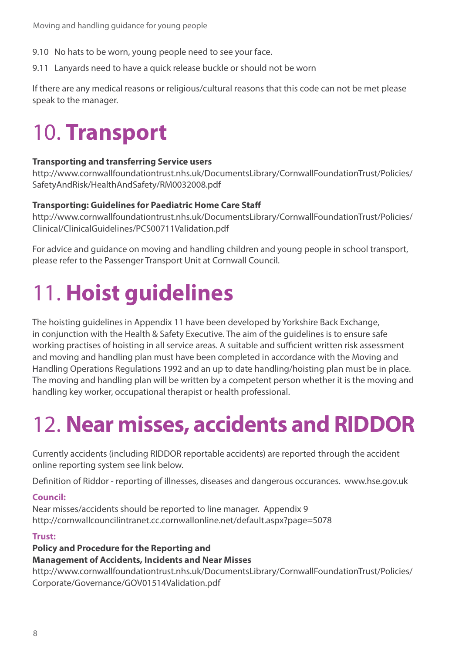- 9.10 No hats to be worn, young people need to see your face.
- 9.11 Lanyards need to have a quick release buckle or should not be worn

If there are any medical reasons or religious/cultural reasons that this code can not be met please speak to the manager.

### 10. **Transport**

#### **Transporting and transferring Service users**

http://www.cornwallfoundationtrust.nhs.uk/DocumentsLibrary/CornwallFoundationTrust/Policies/ SafetyAndRisk/HealthAndSafety/RM0032008.pdf

#### **Transporting: Guidelines for Paediatric Home Care Staff**

http://www.cornwallfoundationtrust.nhs.uk/DocumentsLibrary/CornwallFoundationTrust/Policies/ Clinical/ClinicalGuidelines/PCS00711Validation.pdf

For advice and guidance on moving and handling children and young people in school transport, please refer to the Passenger Transport Unit at Cornwall Council.

### 11. **Hoist guidelines**

The hoisting guidelines in Appendix 11 have been developed by Yorkshire Back Exchange, in conjunction with the Health & Safety Executive. The aim of the guidelines is to ensure safe working practises of hoisting in all service areas. A suitable and sufficient written risk assessment and moving and handling plan must have been completed in accordance with the Moving and Handling Operations Regulations 1992 and an up to date handling/hoisting plan must be in place. The moving and handling plan will be written by a competent person whether it is the moving and handling key worker, occupational therapist or health professional.

### 12. **Near misses, accidents and RIDDOR**

Currently accidents (including RIDDOR reportable accidents) are reported through the accident online reporting system see link below.

Definition of Riddor - reporting of illnesses, diseases and dangerous occurances. www.hse.gov.uk

#### **Council:**

Near misses/accidents should be reported to line manager. Appendix 9 http://cornwallcouncilintranet.cc.cornwallonline.net/default.aspx?page=5078

#### **Trust:**

#### **Policy and Procedure for the Reporting and**

#### **Management of Accidents, Incidents and Near Misses**

http://www.cornwallfoundationtrust.nhs.uk/DocumentsLibrary/CornwallFoundationTrust/Policies/ Corporate/Governance/GOV01514Validation.pdf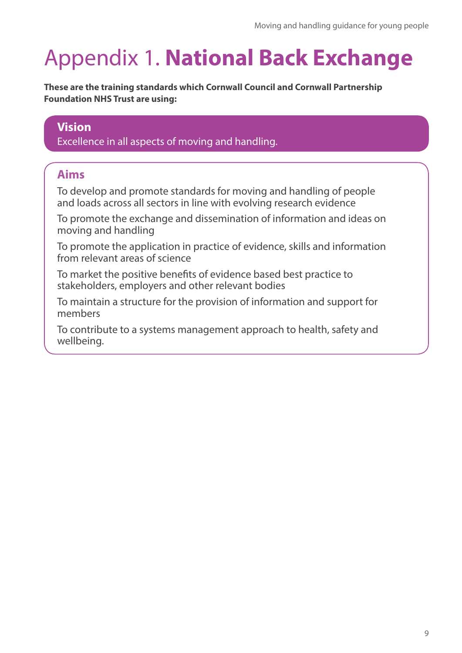### Appendix 1. **National Back Exchange**

**These are the training standards which Cornwall Council and Cornwall Partnership Foundation NHS Trust are using:**

#### **Vision**

Excellence in all aspects of moving and handling.

#### **Aims**

To develop and promote standards for moving and handling of people and loads across all sectors in line with evolving research evidence

To promote the exchange and dissemination of information and ideas on moving and handling

To promote the application in practice of evidence, skills and information from relevant areas of science

To market the positive benefits of evidence based best practice to stakeholders, employers and other relevant bodies

To maintain a structure for the provision of information and support for members

To contribute to a systems management approach to health, safety and wellbeing.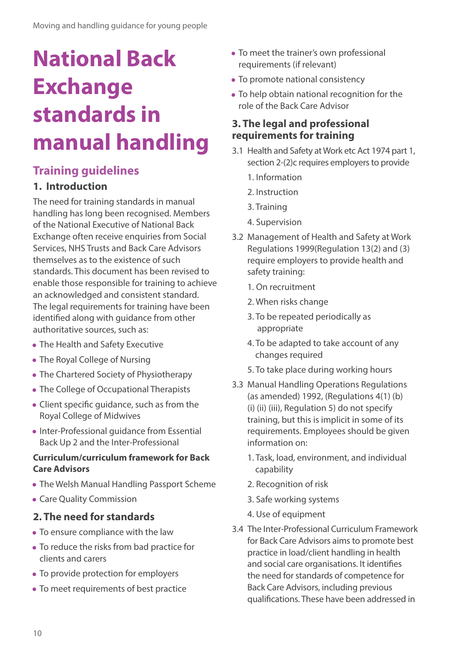### **National Back Exchange standards in manual handling**

#### **Training guidelines**

#### **1. Introduction**

The need for training standards in manual handling has long been recognised. Members of the National Executive of National Back Exchange often receive enquiries from Social Services, NHS Trusts and Back Care Advisors themselves as to the existence of such standards. This document has been revised to enable those responsible for training to achieve an acknowledged and consistent standard. The legal requirements for training have been identified along with guidance from other authoritative sources, such as:

- The Health and Safety Executive
- The Royal College of Nursing
- The Chartered Society of Physiotherapy
- The College of Occupational Therapists
- Client specific guidance, such as from the Royal College of Midwives
- Inter-Professional guidance from Essential Back Up 2 and the Inter-Professional

#### **Curriculum/curriculum framework for Back Care Advisors**

- The Welsh Manual Handling Passport Scheme
- Care Quality Commission

#### **2. The need for standards**

- To ensure compliance with the law
- To reduce the risks from bad practice for clients and carers
- To provide protection for employers
- To meet requirements of best practice
- To meet the trainer's own professional requirements (if relevant)
- To promote national consistency
- To help obtain national recognition for the role of the Back Care Advisor

#### **3. The legal and professional requirements for training**

- 3.1 Health and Safety at Work etc Act 1974 part 1, section 2-(2)c requires employers to provide
	- 1. Information
	- 2. Instruction
	- 3. Training
	- 4. Supervision
- 3.2 Management of Health and Safety at Work Regulations 1999(Regulation 13(2) and (3) require employers to provide health and safety training:
	- 1. On recruitment
	- 2. When risks change
	- 3. To be repeated periodically as appropriate
	- 4. To be adapted to take account of any changes required
	- 5. To take place during working hours
- 3.3 Manual Handling Operations Regulations (as amended) 1992, (Regulations 4(1) (b) (i) (ii) (iii), Regulation 5) do not specify training, but this is implicit in some of its requirements. Employees should be given information on:
	- 1. Task, load, environment, and individual capability
	- 2. Recognition of risk
	- 3. Safe working systems
	- 4. Use of equipment
- 3.4 The Inter-Professional Curriculum Framework for Back Care Advisors aims to promote best practice in load/client handling in health and social care organisations. It identifies the need for standards of competence for Back Care Advisors, including previous qualifications. These have been addressed in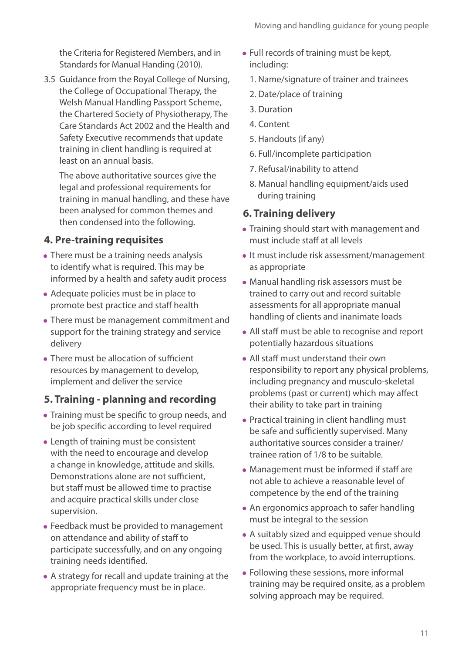the Criteria for Registered Members, and in Standards for Manual Handing (2010).

3.5 Guidance from the Royal College of Nursing, the College of Occupational Therapy, the Welsh Manual Handling Passport Scheme, the Chartered Society of Physiotherapy, The Care Standards Act 2002 and the Health and Safety Executive recommends that update training in client handling is required at least on an annual basis.

The above authoritative sources give the legal and professional requirements for training in manual handling, and these have been analysed for common themes and then condensed into the following.

#### **4. Pre-training requisites**

- There must be a training needs analysis to identify what is required. This may be informed by a health and safety audit process
- Adequate policies must be in place to promote best practice and staff health
- There must be management commitment and support for the training strategy and service delivery
- There must be allocation of sufficient resources by management to develop, implement and deliver the service

#### **5. Training - planning and recording**

- Training must be specific to group needs, and be job specific according to level required
- Length of training must be consistent with the need to encourage and develop a change in knowledge, attitude and skills. Demonstrations alone are not sufficient, but staff must be allowed time to practise and acquire practical skills under close supervision.
- Feedback must be provided to management on attendance and ability of staff to participate successfully, and on any ongoing training needs identified.
- A strategy for recall and update training at the appropriate frequency must be in place.
- Full records of training must be kept, including:
	- 1. Name/signature of trainer and trainees
	- 2. Date/place of training
	- 3. Duration
	- 4. Content
	- 5. Handouts (if any)
	- 6. Full/incomplete participation
	- 7. Refusal/inability to attend
	- 8. Manual handling equipment/aids used during training

#### **6. Training delivery**

- Training should start with management and must include staff at all levels
- It must include risk assessment/management as appropriate
- Manual handling risk assessors must be trained to carry out and record suitable assessments for all appropriate manual handling of clients and inanimate loads
- All staff must be able to recognise and report potentially hazardous situations
- All staff must understand their own responsibility to report any physical problems, including pregnancy and musculo-skeletal problems (past or current) which may affect their ability to take part in training
- Practical training in client handling must be safe and sufficiently supervised. Many authoritative sources consider a trainer/ trainee ration of 1/8 to be suitable.
- Management must be informed if staff are not able to achieve a reasonable level of competence by the end of the training
- An ergonomics approach to safer handling must be integral to the session
- A suitably sized and equipped venue should be used. This is usually better, at first, away from the workplace, to avoid interruptions.
- Following these sessions, more informal training may be required onsite, as a problem solving approach may be required.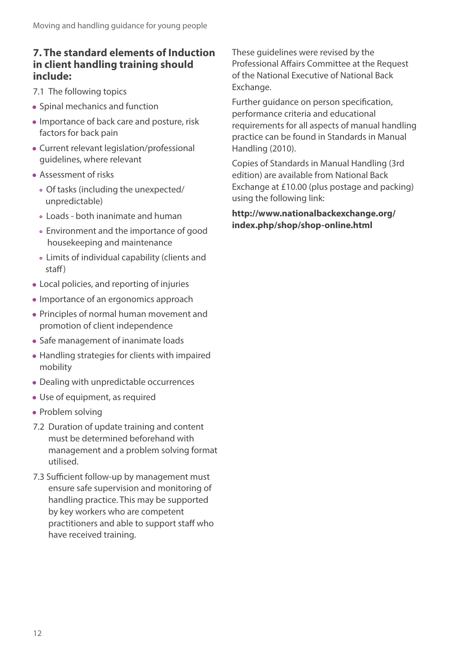#### **7. The standard elements of Induction in client handling training should include:**

7.1 The following topics

- Spinal mechanics and function
- Importance of back care and posture, risk factors for back pain
- Current relevant legislation/professional guidelines, where relevant
- Assessment of risks
	- Of tasks (including the unexpected/ unpredictable)
	- Loads both inanimate and human
	- Environment and the importance of good housekeeping and maintenance
	- Limits of individual capability (clients and staff)
- Local policies, and reporting of injuries
- Importance of an ergonomics approach
- Principles of normal human movement and promotion of client independence
- Safe management of inanimate loads
- Handling strategies for clients with impaired mobility
- Dealing with unpredictable occurrences
- Use of equipment, as required
- Problem solving
- 7.2 Duration of update training and content must be determined beforehand with management and a problem solving format utilised.
- 7.3 Sufficient follow-up by management must ensure safe supervision and monitoring of handling practice. This may be supported by key workers who are competent practitioners and able to support staff who have received training.

These guidelines were revised by the Professional Affairs Committee at the Request of the National Executive of National Back Exchange.

Further guidance on person specification, performance criteria and educational requirements for all aspects of manual handling practice can be found in Standards in Manual Handling (2010).

Copies of Standards in Manual Handling (3rd edition) are available from National Back Exchange at £10.00 (plus postage and packing) using the following link:

**http://www.nationalbackexchange.org/ index.php/shop/shop-online.html**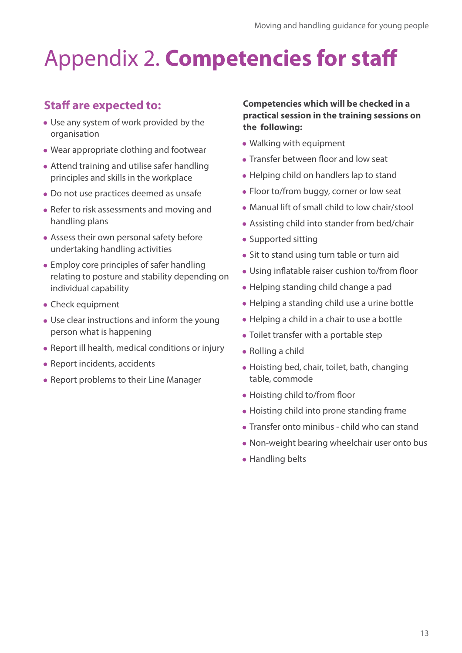# Appendix 2. **Competencies for staff**

#### **Staff are expected to:**

- Use any system of work provided by the organisation
- Wear appropriate clothing and footwear
- Attend training and utilise safer handling principles and skills in the workplace
- Do not use practices deemed as unsafe
- Refer to risk assessments and moving and handling plans
- Assess their own personal safety before undertaking handling activities
- Employ core principles of safer handling relating to posture and stability depending on individual capability
- Check equipment
- Use clear instructions and inform the young person what is happening
- Report ill health, medical conditions or injury
- Report incidents, accidents
- Report problems to their Line Manager

#### **Competencies which will be checked in a practical session in the training sessions on the following:**

- Walking with equipment
- Transfer between floor and low seat
- Helping child on handlers lap to stand
- Floor to/from buggy, corner or low seat
- Manual lift of small child to low chair/stool
- Assisting child into stander from bed/chair
- Supported sitting
- Sit to stand using turn table or turn aid
- Using inflatable raiser cushion to/from floor
- Helping standing child change a pad
- Helping a standing child use a urine bottle
- Helping a child in a chair to use a bottle
- Toilet transfer with a portable step
- Rolling a child
- Hoisting bed, chair, toilet, bath, changing table, commode
- Hoisting child to/from floor
- Hoisting child into prone standing frame
- Transfer onto minibus child who can stand
- Non-weight bearing wheelchair user onto bus
- Handling belts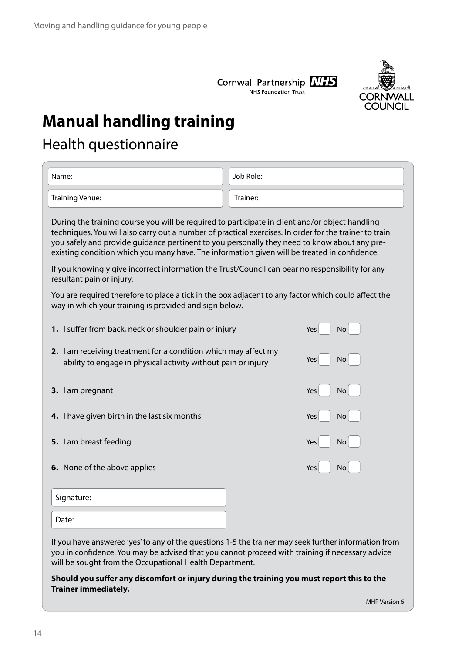



### **Manual handling training**

### Health questionnaire

| Name:                                                                                                                                                                                                                                                                                                                                                                                                     | Job Role: |  |  |  |
|-----------------------------------------------------------------------------------------------------------------------------------------------------------------------------------------------------------------------------------------------------------------------------------------------------------------------------------------------------------------------------------------------------------|-----------|--|--|--|
| <b>Training Venue:</b>                                                                                                                                                                                                                                                                                                                                                                                    | Trainer:  |  |  |  |
| During the training course you will be required to participate in client and/or object handling<br>techniques. You will also carry out a number of practical exercises. In order for the trainer to train<br>you safely and provide guidance pertinent to you personally they need to know about any pre-<br>existing condition which you many have. The information given will be treated in confidence. |           |  |  |  |
| If you knowingly give incorrect information the Trust/Council can bear no responsibility for any<br>resultant pain or injury.                                                                                                                                                                                                                                                                             |           |  |  |  |
| You are required therefore to place a tick in the box adjacent to any factor which could affect the<br>way in which your training is provided and sign below.                                                                                                                                                                                                                                             |           |  |  |  |
| 1. I suffer from back, neck or shoulder pain or injury                                                                                                                                                                                                                                                                                                                                                    | Yes<br>No |  |  |  |
| <b>2.</b> I am receiving treatment for a condition which may affect my<br>Yes<br>No<br>ability to engage in physical activity without pain or injury                                                                                                                                                                                                                                                      |           |  |  |  |
| 3. I am pregnant                                                                                                                                                                                                                                                                                                                                                                                          | Yes<br>No |  |  |  |
| 4. I have given birth in the last six months                                                                                                                                                                                                                                                                                                                                                              | Yes<br>No |  |  |  |
| 5. I am breast feeding                                                                                                                                                                                                                                                                                                                                                                                    | Yes<br>No |  |  |  |
| 6. None of the above applies                                                                                                                                                                                                                                                                                                                                                                              | Yes<br>No |  |  |  |
| Signature:                                                                                                                                                                                                                                                                                                                                                                                                |           |  |  |  |
| Date:                                                                                                                                                                                                                                                                                                                                                                                                     |           |  |  |  |
| If you have answered 'yes' to any of the questions 1-5 the trainer may seek further information from<br>you in confidence. You may be advised that you cannot proceed with training if necessary advice<br>will be sought from the Occupational Health Department.                                                                                                                                        |           |  |  |  |
| Should you suffer any discomfort or injury during the training you must report this to the<br><b>Trainer immediately.</b>                                                                                                                                                                                                                                                                                 |           |  |  |  |

MHP Version 6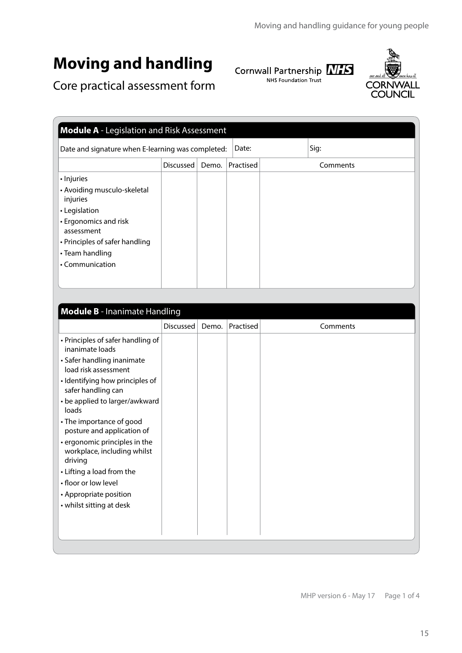### **Moving and handling**

Cornwall Partnership **NIFS**<br>NHS Foundation Trust



Core practical assessment form

|                                                                                                                                                                                       | <b>Module A</b> - Legislation and Risk Assessment |       |           |  |          |  |
|---------------------------------------------------------------------------------------------------------------------------------------------------------------------------------------|---------------------------------------------------|-------|-----------|--|----------|--|
| Date and signature when E-learning was completed:                                                                                                                                     |                                                   |       | Date:     |  | Sig:     |  |
|                                                                                                                                                                                       | Discussed                                         | Demo. | Practised |  | Comments |  |
| · Injuries<br>• Avoiding musculo-skeletal<br>injuries<br>• Legislation<br>• Ergonomics and risk<br>assessment<br>• Principles of safer handling<br>• Team handling<br>• Communication |                                                   |       |           |  |          |  |

| <b>Module B</b> - Inanimate Handling                                    |                  |       |           |          |  |
|-------------------------------------------------------------------------|------------------|-------|-----------|----------|--|
|                                                                         | <b>Discussed</b> | Demo. | Practised | Comments |  |
| • Principles of safer handling of<br>inanimate loads                    |                  |       |           |          |  |
| • Safer handling inanimate<br>load risk assessment                      |                  |       |           |          |  |
| · Identifying how principles of<br>safer handling can                   |                  |       |           |          |  |
| • be applied to larger/awkward<br>loads                                 |                  |       |           |          |  |
| • The importance of good<br>posture and application of                  |                  |       |           |          |  |
| • ergonomic principles in the<br>workplace, including whilst<br>driving |                  |       |           |          |  |
| • Lifting a load from the                                               |                  |       |           |          |  |
| • floor or low level                                                    |                  |       |           |          |  |
| • Appropriate position                                                  |                  |       |           |          |  |
| • whilst sitting at desk                                                |                  |       |           |          |  |
|                                                                         |                  |       |           |          |  |
|                                                                         |                  |       |           |          |  |
|                                                                         |                  |       |           |          |  |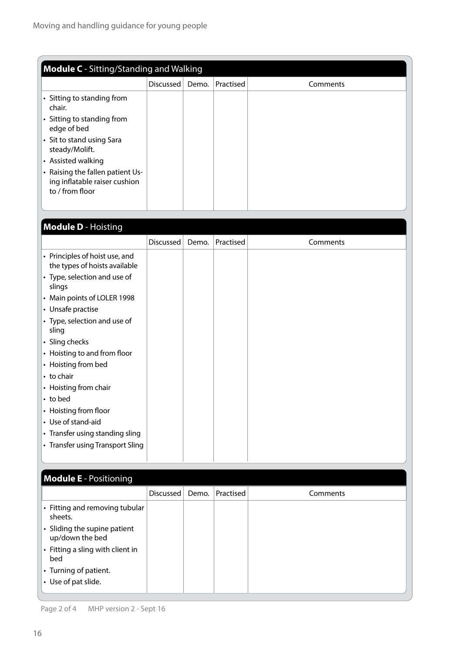| <b>Module C</b> - Sitting/Standing and Walking                                       |                  |       |           |          |
|--------------------------------------------------------------------------------------|------------------|-------|-----------|----------|
|                                                                                      | <b>Discussed</b> | Demo. | Practised | Comments |
| • Sitting to standing from<br>chair.                                                 |                  |       |           |          |
| • Sitting to standing from<br>edge of bed                                            |                  |       |           |          |
| • Sit to stand using Sara<br>steady/Molift.                                          |                  |       |           |          |
| • Assisted walking                                                                   |                  |       |           |          |
| • Raising the fallen patient Us-<br>ing inflatable raiser cushion<br>to / from floor |                  |       |           |          |
|                                                                                      |                  |       |           |          |

#### **Module D** - Hoisting Discussed Demo. Practised Comments • Principles of hoist use, and the types of hoists available • Type, selection and use of slings • Main points of LOLER 1998 • Unsafe practise • Type, selection and use of sling • Sling checks • Hoisting to and from floor • Hoisting from bed • to chair • Hoisting from chair • to bed • Hoisting from floor • Use of stand-aid • Transfer using standing sling • Transfer using Transport Sling

| <b>Module E</b> - Positioning                   |           |       |           |          |
|-------------------------------------------------|-----------|-------|-----------|----------|
|                                                 | Discussed | Demo. | Practised | Comments |
| • Fitting and removing tubular<br>sheets.       |           |       |           |          |
| • Sliding the supine patient<br>up/down the bed |           |       |           |          |
| • Fitting a sling with client in<br>bed         |           |       |           |          |
| • Turning of patient.                           |           |       |           |          |
| • Use of pat slide.                             |           |       |           |          |

Page 2 of 4 MHP version 2 - Sept 16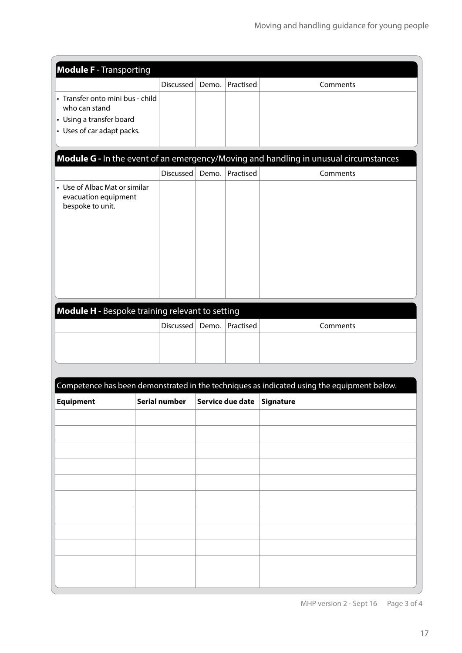| <b>Module F</b> - Transporting                        |                  |       |           |                                                                                            |
|-------------------------------------------------------|------------------|-------|-----------|--------------------------------------------------------------------------------------------|
|                                                       | <b>Discussed</b> | Demo. | Practised | Comments                                                                                   |
| · Transfer onto mini bus - child                      |                  |       |           |                                                                                            |
| who can stand                                         |                  |       |           |                                                                                            |
| • Using a transfer board                              |                  |       |           |                                                                                            |
| $\cdot$ Uses of car adapt packs.                      |                  |       |           |                                                                                            |
|                                                       |                  |       |           |                                                                                            |
|                                                       |                  |       |           | Module G - In the event of an emergency/Moving and handling in unusual circumstances       |
|                                                       |                  |       |           |                                                                                            |
|                                                       | Discussed        | Demo. | Practised | Comments                                                                                   |
| • Use of Albac Mat or similar<br>evacuation equipment |                  |       |           |                                                                                            |
| bespoke to unit.                                      |                  |       |           |                                                                                            |
|                                                       |                  |       |           |                                                                                            |
|                                                       |                  |       |           |                                                                                            |
|                                                       |                  |       |           |                                                                                            |
|                                                       |                  |       |           |                                                                                            |
|                                                       |                  |       |           |                                                                                            |
|                                                       |                  |       |           |                                                                                            |
|                                                       |                  |       |           |                                                                                            |
|                                                       |                  |       |           |                                                                                            |
| Module H - Bespoke training relevant to setting       |                  |       |           |                                                                                            |
|                                                       | Discussed        | Demo. | Practised | Comments                                                                                   |
|                                                       |                  |       |           |                                                                                            |
|                                                       |                  |       |           |                                                                                            |
|                                                       |                  |       |           |                                                                                            |
|                                                       |                  |       |           |                                                                                            |
|                                                       |                  |       |           | Competence has been demonstrated in the techniques as indicated using the equipment below. |
|                                                       |                  |       |           |                                                                                            |
| <b>Equipment</b>                                      | Serial number    |       |           | Service due date Signature                                                                 |
|                                                       |                  |       |           |                                                                                            |
|                                                       |                  |       |           |                                                                                            |
|                                                       |                  |       |           |                                                                                            |
|                                                       |                  |       |           |                                                                                            |
|                                                       |                  |       |           |                                                                                            |
|                                                       |                  |       |           |                                                                                            |
|                                                       |                  |       |           |                                                                                            |
|                                                       |                  |       |           |                                                                                            |
|                                                       |                  |       |           |                                                                                            |
|                                                       |                  |       |           |                                                                                            |
|                                                       |                  |       |           |                                                                                            |
|                                                       |                  |       |           |                                                                                            |
|                                                       |                  |       |           |                                                                                            |
|                                                       |                  |       |           |                                                                                            |
|                                                       |                  |       |           |                                                                                            |
|                                                       |                  |       |           |                                                                                            |

MHP version 2 - Sept 16 Page 3 of 4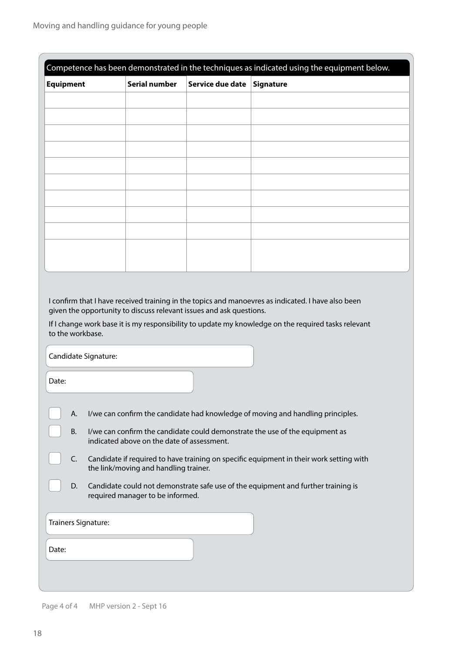|                                                                                                                             |                                                                                                                                  |                  | Competence has been demonstrated in the techniques as indicated using the equipment below.          |  |  |  |  |  |
|-----------------------------------------------------------------------------------------------------------------------------|----------------------------------------------------------------------------------------------------------------------------------|------------------|-----------------------------------------------------------------------------------------------------|--|--|--|--|--|
| <b>Equipment</b>                                                                                                            | <b>Serial number</b>                                                                                                             | Service due date | <b>Signature</b>                                                                                    |  |  |  |  |  |
|                                                                                                                             |                                                                                                                                  |                  |                                                                                                     |  |  |  |  |  |
|                                                                                                                             |                                                                                                                                  |                  |                                                                                                     |  |  |  |  |  |
|                                                                                                                             |                                                                                                                                  |                  |                                                                                                     |  |  |  |  |  |
|                                                                                                                             |                                                                                                                                  |                  |                                                                                                     |  |  |  |  |  |
|                                                                                                                             |                                                                                                                                  |                  |                                                                                                     |  |  |  |  |  |
|                                                                                                                             |                                                                                                                                  |                  |                                                                                                     |  |  |  |  |  |
|                                                                                                                             |                                                                                                                                  |                  |                                                                                                     |  |  |  |  |  |
|                                                                                                                             |                                                                                                                                  |                  |                                                                                                     |  |  |  |  |  |
|                                                                                                                             |                                                                                                                                  |                  |                                                                                                     |  |  |  |  |  |
|                                                                                                                             |                                                                                                                                  |                  |                                                                                                     |  |  |  |  |  |
|                                                                                                                             |                                                                                                                                  |                  |                                                                                                     |  |  |  |  |  |
| to the workbase.<br>Candidate Signature:                                                                                    |                                                                                                                                  |                  | If I change work base it is my responsibility to update my knowledge on the required tasks relevant |  |  |  |  |  |
| Date:                                                                                                                       |                                                                                                                                  |                  |                                                                                                     |  |  |  |  |  |
| А.                                                                                                                          |                                                                                                                                  |                  | I/we can confirm the candidate had knowledge of moving and handling principles.                     |  |  |  |  |  |
| <b>B.</b>                                                                                                                   | indicated above on the date of assessment.                                                                                       |                  | I/we can confirm the candidate could demonstrate the use of the equipment as                        |  |  |  |  |  |
| C.                                                                                                                          | Candidate if required to have training on specific equipment in their work setting with<br>the link/moving and handling trainer. |                  |                                                                                                     |  |  |  |  |  |
| D.<br>Candidate could not demonstrate safe use of the equipment and further training is<br>required manager to be informed. |                                                                                                                                  |                  |                                                                                                     |  |  |  |  |  |
| Trainers Signature:                                                                                                         |                                                                                                                                  |                  |                                                                                                     |  |  |  |  |  |
| Date:                                                                                                                       |                                                                                                                                  |                  |                                                                                                     |  |  |  |  |  |
|                                                                                                                             |                                                                                                                                  |                  |                                                                                                     |  |  |  |  |  |

Page 4 of 4 MHP version 2 - Sept 16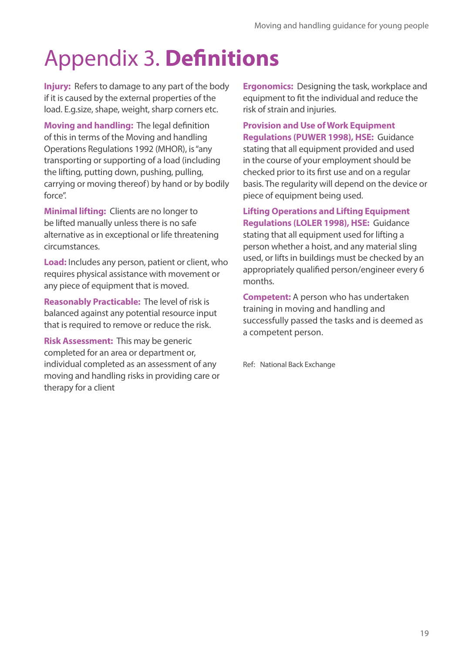### Appendix 3. **Definitions**

**Injury:** Refers to damage to any part of the body if it is caused by the external properties of the load. E.g.size, shape, weight, sharp corners etc.

**Moving and handling:** The legal definition of this in terms of the Moving and handling Operations Regulations 1992 (MHOR), is "any transporting or supporting of a load (including the lifting, putting down, pushing, pulling, carrying or moving thereof) by hand or by bodily force".

**Minimal lifting:** Clients are no longer to be lifted manually unless there is no safe alternative as in exceptional or life threatening circumstances.

**Load:** Includes any person, patient or client, who requires physical assistance with movement or any piece of equipment that is moved.

**Reasonably Practicable:** The level of risk is balanced against any potential resource input that is required to remove or reduce the risk.

**Risk Assessment:** This may be generic completed for an area or department or, individual completed as an assessment of any moving and handling risks in providing care or therapy for a client

**Ergonomics:** Designing the task, workplace and equipment to fit the individual and reduce the risk of strain and injuries.

**Provision and Use of Work Equipment Regulations (PUWER 1998), HSE:** Guidance stating that all equipment provided and used in the course of your employment should be checked prior to its first use and on a regular basis. The regularity will depend on the device or piece of equipment being used.

**Lifting Operations and Lifting Equipment Regulations (LOLER 1998), HSE:** Guidance stating that all equipment used for lifting a person whether a hoist, and any material sling used, or lifts in buildings must be checked by an appropriately qualified person/engineer every 6 months.

**Competent:** A person who has undertaken training in moving and handling and successfully passed the tasks and is deemed as a competent person.

Ref: National Back Exchange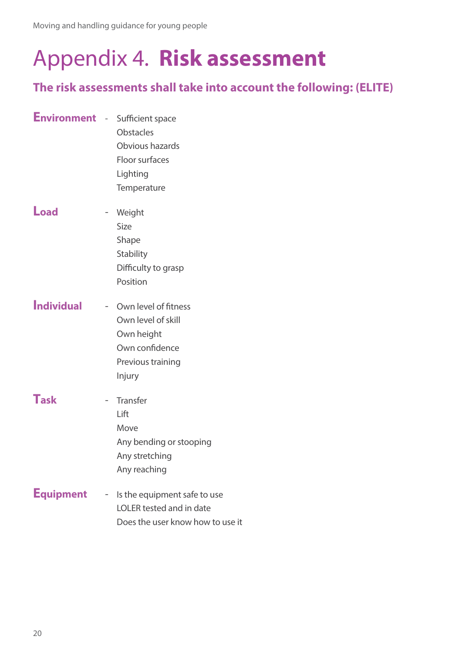### Appendix 4. **Risk assessment**

#### **The risk assessments shall take into account the following: (ELITE)**

| <b>Environment</b> - Sufficient space |                          | <b>Obstacles</b><br>Obvious hazards<br>Floor surfaces<br>Lighting<br>Temperature                            |
|---------------------------------------|--------------------------|-------------------------------------------------------------------------------------------------------------|
| <b>Load</b>                           | $\sim$                   | Weight<br>Size<br>Shape<br>Stability<br>Difficulty to grasp<br>Position                                     |
| <b>Individual</b>                     |                          | - Own level of fitness<br>Own level of skill<br>Own height<br>Own confidence<br>Previous training<br>Injury |
| <b>Task</b>                           | $\overline{\phantom{a}}$ | <b>Transfer</b><br>Lift<br>Move<br>Any bending or stooping<br>Any stretching<br>Any reaching                |
| <b>Equipment</b>                      |                          | - Is the equipment safe to use<br>LOLER tested and in date<br>Does the user know how to use it              |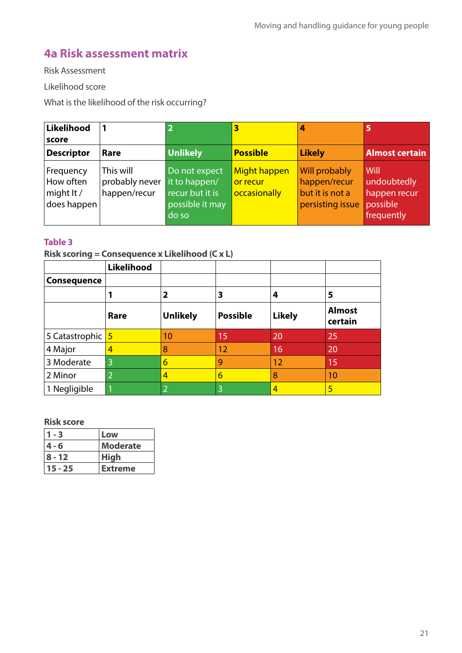#### **4a Risk assessment matrix**

Risk Assessment

Likelihood score

What is the likelihood of the risk occurring?

| Likelihood<br>score                                  |                                             | $\overline{\mathbf{2}}$                                                       | 3                                        | 4                                                                           | 5                                                             |
|------------------------------------------------------|---------------------------------------------|-------------------------------------------------------------------------------|------------------------------------------|-----------------------------------------------------------------------------|---------------------------------------------------------------|
| <b>Descriptor</b>                                    | Rare                                        | <b>Unlikely</b>                                                               | <b>Possible</b>                          | Likely                                                                      | <b>Almost certain</b>                                         |
| Frequency<br>How often<br>might $lt/$<br>does happen | This will<br>probably never<br>happen/recur | Do not expect<br>it to happen/<br>recur but it is<br>possible it may<br>do so | Might happen<br>or recur<br>occasionally | <b>Will probably</b><br>happen/recur<br>but it is not a<br>persisting issue | Will<br>undoubtedly<br>happen recur<br>possible<br>frequently |

#### **Table 3**

**Risk scoring = Consequence x Likelihood (C x L)**

|                    | Likelihood     |                 |                 |               |                          |
|--------------------|----------------|-----------------|-----------------|---------------|--------------------------|
| <b>Consequence</b> |                |                 |                 |               |                          |
|                    |                | 2               | 3               | 4             | 5                        |
|                    | Rare           | <b>Unlikely</b> | <b>Possible</b> | <b>Likely</b> | <b>Almost</b><br>certain |
| 5 Catastrophic 5   |                | 10              | 15              | 20            | 25                       |
| 4 Major            | 4              | 8               | 12              | 16            | 20                       |
| 3 Moderate         | 3              | 6               | 9               | 12            | 15                       |
| 2 Minor            | $\overline{2}$ | 4               | 6               | 8             | 10                       |
| 1 Negligible       |                | 2               |                 | 4             | 5                        |

#### **Risk score**

| - 3        | Low             |
|------------|-----------------|
| 4 - 6      | <b>Moderate</b> |
| $ 8 - 12 $ | <b>High</b>     |
| 15 - 25    | <b>Extreme</b>  |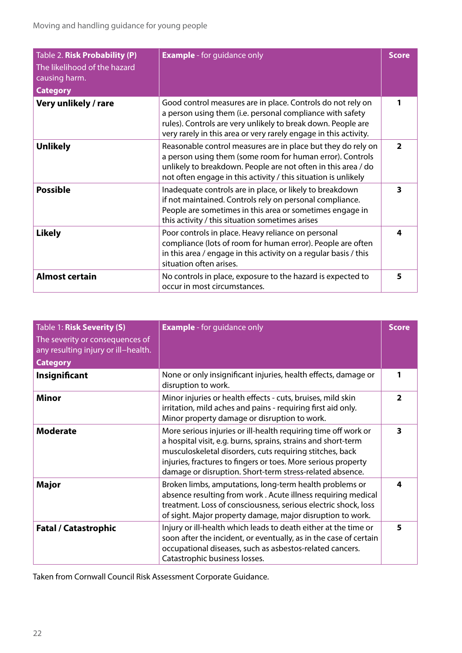| Table 2. Risk Probability (P)<br>The likelihood of the hazard<br>causing harm.<br><b>Category</b> | <b>Example</b> - for guidance only                                                                                                                                                                                                                           | <b>Score</b> |
|---------------------------------------------------------------------------------------------------|--------------------------------------------------------------------------------------------------------------------------------------------------------------------------------------------------------------------------------------------------------------|--------------|
| Very unlikely / rare                                                                              | Good control measures are in place. Controls do not rely on<br>a person using them (i.e. personal compliance with safety<br>rules). Controls are very unlikely to break down. People are<br>very rarely in this area or very rarely engage in this activity. |              |
| <b>Unlikely</b>                                                                                   | Reasonable control measures are in place but they do rely on<br>a person using them (some room for human error). Controls<br>unlikely to breakdown. People are not often in this area / do<br>not often engage in this activity / this situation is unlikely | 2            |
| <b>Possible</b>                                                                                   | Inadequate controls are in place, or likely to breakdown<br>if not maintained. Controls rely on personal compliance.<br>People are sometimes in this area or sometimes engage in<br>this activity / this situation sometimes arises                          | 3            |
| <b>Likely</b>                                                                                     | Poor controls in place. Heavy reliance on personal<br>compliance (lots of room for human error). People are often<br>in this area / engage in this activity on a regular basis / this<br>situation often arises.                                             | 4            |
| <b>Almost certain</b>                                                                             | No controls in place, exposure to the hazard is expected to<br>occur in most circumstances.                                                                                                                                                                  | 5            |

| Table 1: Risk Severity (S)<br>The severity or consequences of<br>any resulting injury or ill-health.<br><b>Category</b> | <b>Example</b> - for guidance only                                                                                                                                                                                                                                                                                       | <b>Score</b>            |
|-------------------------------------------------------------------------------------------------------------------------|--------------------------------------------------------------------------------------------------------------------------------------------------------------------------------------------------------------------------------------------------------------------------------------------------------------------------|-------------------------|
| Insignificant                                                                                                           | None or only insignificant injuries, health effects, damage or<br>disruption to work.                                                                                                                                                                                                                                    | 1                       |
| <b>Minor</b>                                                                                                            | Minor injuries or health effects - cuts, bruises, mild skin<br>irritation, mild aches and pains - requiring first aid only.<br>Minor property damage or disruption to work.                                                                                                                                              | $\overline{\mathbf{2}}$ |
| <b>Moderate</b>                                                                                                         | More serious injuries or ill-health requiring time off work or<br>a hospital visit, e.g. burns, sprains, strains and short-term<br>musculoskeletal disorders, cuts requiring stitches, back<br>injuries, fractures to fingers or toes. More serious property<br>damage or disruption. Short-term stress-related absence. | 3                       |
| Major                                                                                                                   | Broken limbs, amputations, long-term health problems or<br>absence resulting from work. Acute illness requiring medical<br>treatment. Loss of consciousness, serious electric shock, loss<br>of sight. Major property damage, major disruption to work.                                                                  | 4                       |
| <b>Fatal / Catastrophic</b>                                                                                             | Injury or ill-health which leads to death either at the time or<br>soon after the incident, or eventually, as in the case of certain<br>occupational diseases, such as asbestos-related cancers.<br>Catastrophic business losses.                                                                                        | 5                       |

Taken from Cornwall Council Risk Assessment Corporate Guidance.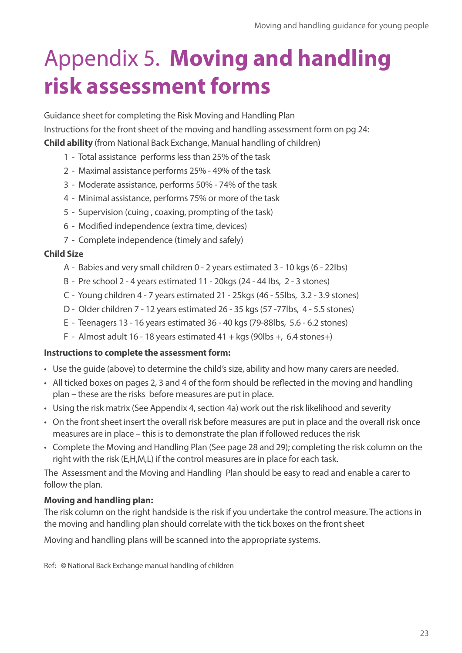### Appendix 5. **Moving and handling risk assessment forms**

Guidance sheet for completing the Risk Moving and Handling Plan Instructions for the front sheet of the moving and handling assessment form on pg 24: **Child ability** (from National Back Exchange, Manual handling of children)

- 1 Total assistance performs less than 25% of the task
- 2 Maximal assistance performs 25% 49% of the task
- 3 Moderate assistance, performs 50% 74% of the task
- 4 Minimal assistance, performs 75% or more of the task
- 5 Supervision (cuing , coaxing, prompting of the task)
- 6 Modified independence (extra time, devices)
- 7 Complete independence (timely and safely)

#### **Child Size**

- A Babies and very small children 0 2 years estimated 3 10 kgs (6 22lbs)
- B Pre school 2 4 years estimated 11 20kgs (24 44 lbs, 2 3 stones)
- C Young children 4 7 years estimated 21 25kgs (46 55lbs, 3.2 3.9 stones)
- D Older children 7 12 years estimated 26 35 kgs (57 -77lbs, 4 5.5 stones)
- E Teenagers 13 16 years estimated 36 40 kgs (79-88lbs, 5.6 6.2 stones)
- F Almost adult 16 18 years estimated  $41 +$  kgs (90lbs +, 6.4 stones+)

#### **Instructions to complete the assessment form:**

- Use the guide (above) to determine the child's size, ability and how many carers are needed.
- All ticked boxes on pages 2, 3 and 4 of the form should be reflected in the moving and handling plan – these are the risks before measures are put in place.
- Using the risk matrix (See Appendix 4, section 4a) work out the risk likelihood and severity
- On the front sheet insert the overall risk before measures are put in place and the overall risk once measures are in place – this is to demonstrate the plan if followed reduces the risk
- Complete the Moving and Handling Plan (See page 28 and 29); completing the risk column on the right with the risk (E,H,M,L) if the control measures are in place for each task.

The Assessment and the Moving and Handling Plan should be easy to read and enable a carer to follow the plan.

#### **Moving and handling plan:**

The risk column on the right handside is the risk if you undertake the control measure. The actions in the moving and handling plan should correlate with the tick boxes on the front sheet

Moving and handling plans will be scanned into the appropriate systems.

Ref: © National Back Exchange manual handling of children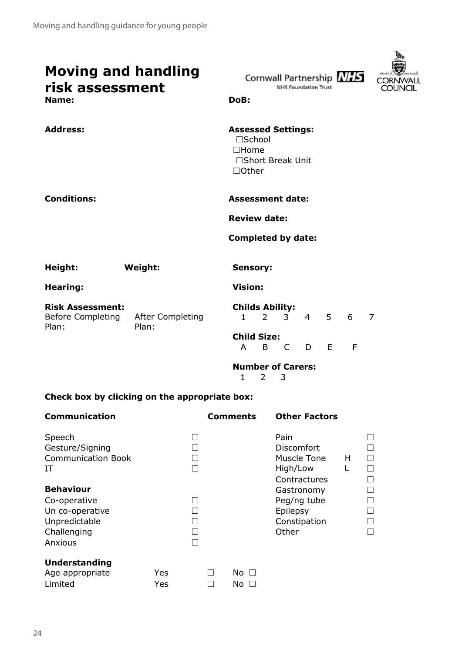| <b>Moving and handling</b><br>risk assessment<br>Name:       |                           | Cornwall Partnership NHS<br>CORNI<br><b>NHS Foundation Trust</b><br>COUNCIL<br>DoB:                                      |
|--------------------------------------------------------------|---------------------------|--------------------------------------------------------------------------------------------------------------------------|
| <b>Address:</b>                                              |                           | <b>Assessed Settings:</b><br>□School<br>$\square$ Home<br>□Short Break Unit<br>$\Box$ Other                              |
| <b>Conditions:</b>                                           |                           | <b>Assessment date:</b>                                                                                                  |
|                                                              |                           | <b>Review date:</b>                                                                                                      |
|                                                              |                           | <b>Completed by date:</b>                                                                                                |
| Height:                                                      | Weight:                   | <b>Sensory:</b>                                                                                                          |
| <b>Hearing:</b>                                              |                           | <b>Vision:</b>                                                                                                           |
| <b>Risk Assessment:</b><br><b>Before Completing</b><br>Plan: | After Completing<br>Plan: | <b>Childs Ability:</b><br>5 <sub>1</sub><br>6<br>$\overline{2}$<br>3<br>$\overline{4}$<br>$\overline{7}$<br>$\mathbf{1}$ |
|                                                              |                           | <b>Child Size:</b><br>E<br>F<br>A<br>B<br>C<br>D                                                                         |
|                                                              |                           |                                                                                                                          |

**Number of Carers:** 1 2 3

#### **Check box by clicking on the appropriate box:**

| <b>Communication</b>                                                                           |            |             | <b>Comments</b>  | <b>Other Factors</b>                                           |        |                  |
|------------------------------------------------------------------------------------------------|------------|-------------|------------------|----------------------------------------------------------------|--------|------------------|
| Speech<br>Gesture/Signing<br><b>Communication Book</b><br>IT                                   |            | П           |                  | Pain<br>Discomfort<br>Muscle Tone<br>High/Low<br>Contractures  | H<br>L | $\Box$           |
| <b>Behaviour</b><br>Co-operative<br>Un co-operative<br>Unpredictable<br>Challenging<br>Anxious |            | П<br>П<br>П |                  | Gastronomy<br>Peg/ng tube<br>Epilepsy<br>Constipation<br>Other |        | $\Box$<br>$\Box$ |
| <b>Understanding</b><br>Age appropriate<br>Limited                                             | Yes<br>Yes |             | No $\Box$<br>No. |                                                                |        |                  |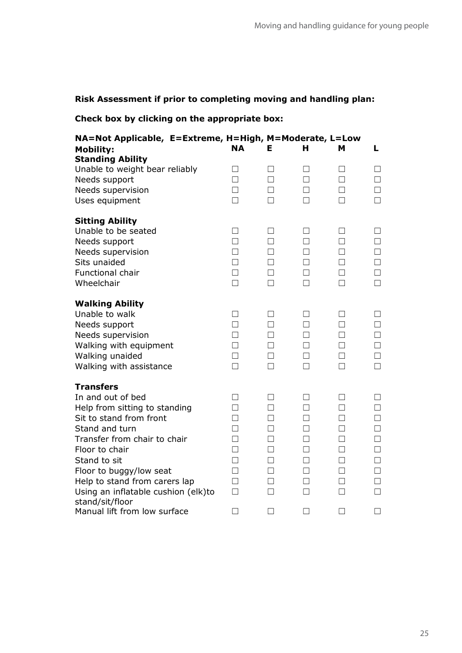#### **Risk Assessment if prior to completing moving and handling plan:**

#### **Check box by clicking on the appropriate box:**

| NA=Not Applicable, E=Extreme, H=High, M=Moderate, L=Low<br><b>Mobility:</b><br><b>Standing Ability</b>                                                                                                                                                                                                      | NΑ                                                                                          | F                                                                  | н                                                                  | м                                                             | L.                                                                                     |
|-------------------------------------------------------------------------------------------------------------------------------------------------------------------------------------------------------------------------------------------------------------------------------------------------------------|---------------------------------------------------------------------------------------------|--------------------------------------------------------------------|--------------------------------------------------------------------|---------------------------------------------------------------|----------------------------------------------------------------------------------------|
| Unable to weight bear reliably<br>Needs support<br>Needs supervision<br>Uses equipment                                                                                                                                                                                                                      | П<br>$\Box$<br>$\Box$<br>$\Box$                                                             | П<br>$\Box$<br>$\Box$<br>П                                         | П<br>$\Box$<br>$\Box$<br>П                                         | П<br>П<br>П<br>П                                              | П<br>$\Box$<br>П<br>П                                                                  |
| <b>Sitting Ability</b><br>Unable to be seated<br>Needs support<br>Needs supervision<br>Sits unaided<br>Functional chair<br>Wheelchair                                                                                                                                                                       | П<br>$\Box$<br>$\Box$<br>$\Box$<br>$\Box$<br>$\Box$                                         | П<br>$\Box$<br>$\Box$<br>$\Box$<br>$\Box$<br>П                     | П<br>П<br>П<br>П<br>П<br>П                                         | П<br>П<br>П<br>П<br>П<br>П                                    | $\perp$<br>$\Box$<br>П<br>$\Box$<br>$\Box$<br>П                                        |
| <b>Walking Ability</b><br>Unable to walk<br>Needs support<br>Needs supervision<br>Walking with equipment<br>Walking unaided<br>Walking with assistance                                                                                                                                                      | П<br>$\Box$<br>$\Box$<br>$\Box$<br>$\Box$<br>$\Box$                                         | $\perp$<br>$\Box$<br>$\Box$<br>П<br>$\Box$<br>$\Box$               | $\Box$<br>П<br>П<br>П<br>$\Box$<br>$\Box$                          | $\Box$<br>П<br>П<br>П<br>$\Box$<br>П                          | $\Box$<br>П<br>П<br>П<br>$\Box$<br>$\Box$                                              |
| <b>Transfers</b><br>In and out of bed<br>Help from sitting to standing<br>Sit to stand from front<br>Stand and turn<br>Transfer from chair to chair<br>Floor to chair<br>Stand to sit<br>Floor to buggy/low seat<br>Help to stand from carers lap<br>Using an inflatable cushion (elk)to<br>stand/sit/floor | П<br>$\Box$<br>$\Box$<br>$\Box$<br>$\Box$<br>$\Box$<br>$\Box$<br>$\Box$<br>$\Box$<br>$\Box$ | П<br>$\Box$<br>П<br>П<br>$\Box$<br>П<br>$\Box$<br>П<br>П<br>$\Box$ | П<br>$\Box$<br>П<br>П<br>$\Box$<br>П<br>$\Box$<br>П<br>П<br>$\Box$ | П<br>П<br>П<br>П<br>$\Box$<br>П<br>$\Box$<br>П<br>П<br>$\Box$ | П<br>$\Box$<br>$\Box$<br>$\Box$<br>$\Box$<br>$\Box$<br>$\Box$<br>$\Box$<br>П<br>$\Box$ |
| Manual lift from low surface                                                                                                                                                                                                                                                                                | $\Box$                                                                                      | П                                                                  | П                                                                  | П                                                             | П                                                                                      |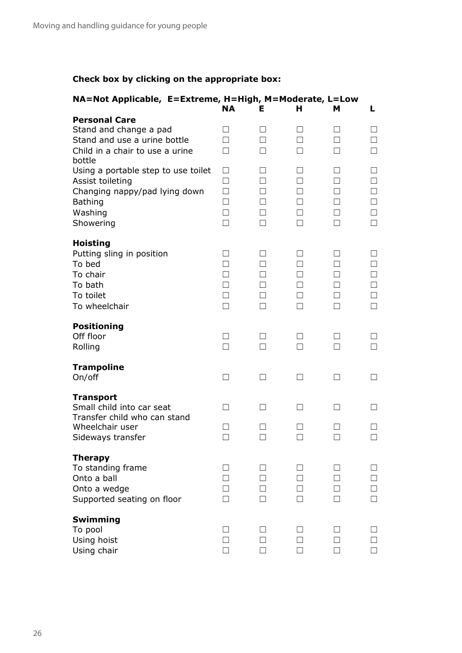#### **Check box by clicking on the appropriate box:**

| NA=Not Applicable, E=Extreme, H=High, M=Moderate, L=Low                                                                                      | <b>NA</b>                                  | Е                                          | н                                    | м                                          | L                                                     |
|----------------------------------------------------------------------------------------------------------------------------------------------|--------------------------------------------|--------------------------------------------|--------------------------------------|--------------------------------------------|-------------------------------------------------------|
| <b>Personal Care</b><br>Stand and change a pad<br>Stand and use a urine bottle<br>Child in a chair to use a urine                            | П<br>П                                     | $\mathsf{L}$                               | ΙI<br>П<br>П                         | П                                          | ┓                                                     |
| bottle<br>Using a portable step to use toilet<br>Assist toileting<br>Changing nappy/pad lying down<br><b>Bathing</b><br>Washing<br>Showering | П<br>П<br>П<br>П<br>П<br>П                 | $\Box$<br>$\mathsf{L}$<br>П                | $\perp$<br>П<br>П<br>П<br>П          | $\Box$<br>П<br>П<br>П<br>П                 | $\vert \ \ \vert$<br>$\mathbf{I}$<br>П<br>П<br>П<br>П |
| <b>Hoisting</b><br>Putting sling in position<br>To bed<br>To chair<br>To bath<br>To toilet<br>To wheelchair                                  | $\perp$<br>П<br>П<br>$\Box$<br>$\Box$<br>П | $\perp$<br>П<br>$\Box$<br>П<br>$\Box$<br>П | ш<br>П<br>П<br>$\Box$<br>$\Box$<br>П | $\perp$<br>П<br>П<br>$\Box$<br>$\Box$<br>П | $\Box$<br>П<br>┓<br>$\Box$<br>$\Box$<br>П             |
| <b>Positioning</b><br>Off floor<br>Rolling                                                                                                   | $\perp$<br>П                               | $\Box$<br>П                                | П<br>П                               | $\Box$<br>П                                | $\vert \ \ \vert$<br>П                                |
| <b>Trampoline</b><br>On/off                                                                                                                  | $\Box$                                     |                                            |                                      |                                            |                                                       |
| <b>Transport</b><br>Small child into car seat<br>Transfer child who can stand<br>Wheelchair user<br>Sideways transfer                        | П<br>П                                     | $\Box$                                     | $\Box$                               | П<br>П                                     | $\Box$                                                |
| <b>Therapy</b><br>To standing frame<br>Onto a ball<br>Onto a wedge<br>Supported seating on floor                                             | $\vert \ \ \vert$<br>H<br>П                |                                            | $\Box$<br>П<br>$\mathbf{I}$<br>П     | П<br>П                                     | ┓<br>П                                                |
| Swimming<br>To pool<br>Using hoist<br>Using chair                                                                                            | $\overline{\phantom{a}}$<br>П              |                                            | $\overline{\phantom{0}}$<br>П        |                                            | П                                                     |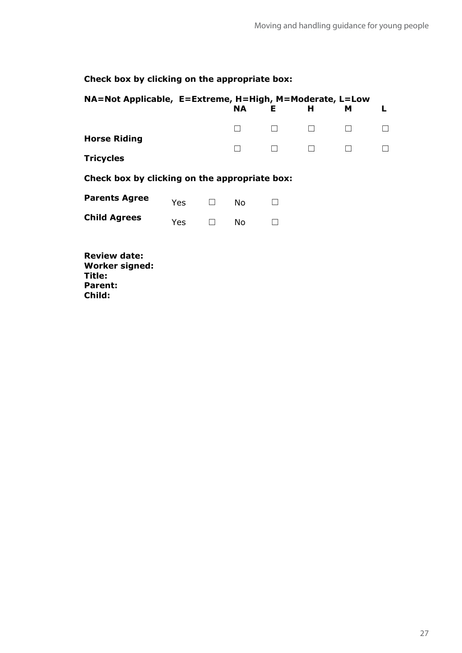#### **Check box by clicking on the appropriate box:**

| NA=Not Applicable, E=Extreme, H=High, M=Moderate, L=Low       |     |              | NA. | Е | н | м |  |
|---------------------------------------------------------------|-----|--------------|-----|---|---|---|--|
|                                                               |     |              |     |   |   |   |  |
| <b>Horse Riding</b>                                           |     |              |     |   |   |   |  |
| <b>Tricycles</b>                                              |     |              |     |   |   |   |  |
| Check box by clicking on the appropriate box:                 |     |              |     |   |   |   |  |
| <b>Parents Agree</b>                                          | Yes | $\mathsf{L}$ | No  |   |   |   |  |
| <b>Child Agrees</b>                                           | Yes | П            | No. |   |   |   |  |
| <b>Review date:</b><br><b>Worker signed:</b><br><b>Title:</b> |     |              |     |   |   |   |  |

**Parent: Child:**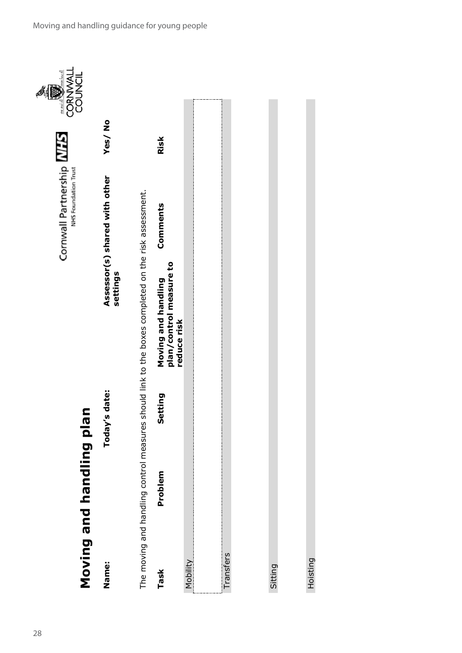

Hoisting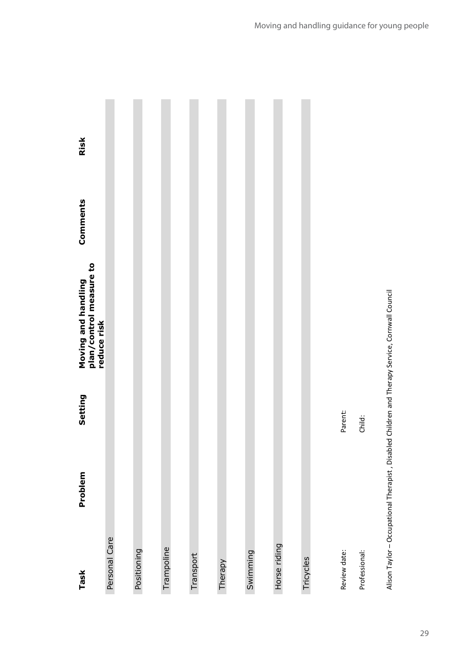| Task          | Problem | Setting | Moving and handling<br>plan/control measure to<br>reduce risk | Comments | Risk |
|---------------|---------|---------|---------------------------------------------------------------|----------|------|
| Personal Care |         |         |                                                               |          |      |
|               |         |         |                                                               |          |      |
| Positioning   |         |         |                                                               |          |      |
|               |         |         |                                                               |          |      |
| Trampoline    |         |         |                                                               |          |      |
|               |         |         |                                                               |          |      |
| Transport     |         |         |                                                               |          |      |
|               |         |         |                                                               |          |      |
| Therapy       |         |         |                                                               |          |      |
|               |         |         |                                                               |          |      |
| Swimming      |         |         |                                                               |          |      |
|               |         |         |                                                               |          |      |
| Horse riding  |         |         |                                                               |          |      |
|               |         |         |                                                               |          |      |
| Tricycles     |         |         |                                                               |          |      |
|               |         |         |                                                               |          |      |
| Review date:  |         | Parent: |                                                               |          |      |
| Professional: |         | Child:  |                                                               |          |      |
|               |         |         |                                                               |          |      |

Alison Taylor – Occupational Therapist , Disabled Children and Therapy Service, Cornwall Council

Alison Taylor - Occupational Therapist, Disabled Children and Therapy Service, Cornwall Council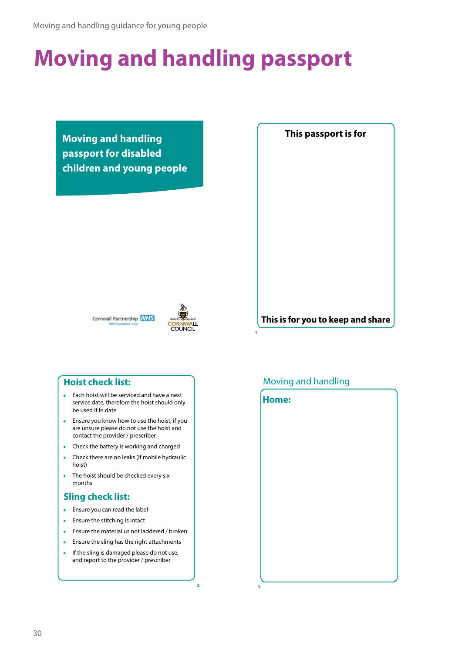### **Moving and handling passport**

**Moving and handling passport for disabled children and young people**



**This is for you to keep and share**





**2**

#### **Hoist check list:**

- Each hoist will be serviced and have a next service date, therefore the hoist should only be used if in date
- Ensure you know how to use the hoist, if you are unsure please do not use the hoist and contact the provider / prescriber
- Check the battery is working and charged
- Check there are no leaks (if mobile hydraulic hoist)
- The hoist should be checked every six months

#### **Sling check list:**

- Ensure you can read the label
- Ensure the stitching is intact
- Ensure the material us not laddered / broken
- Ensure the sling has the right attachments
- If the sling is damaged please do not use, and report to the provider / prescriber

#### Moving and handling

**1**

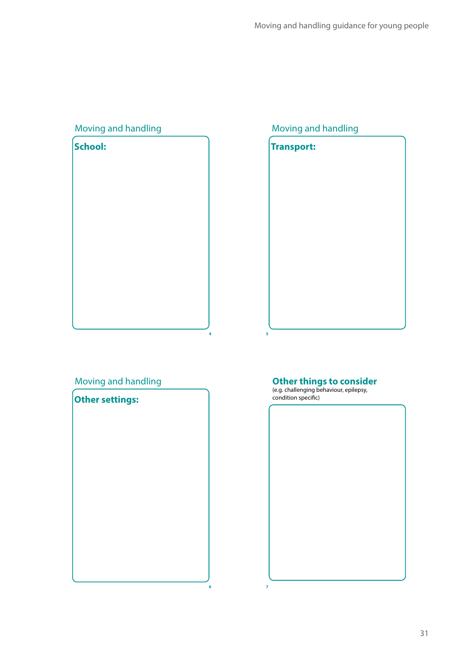| Moving and handling |  |
|---------------------|--|
| School:             |  |
|                     |  |
|                     |  |
|                     |  |
|                     |  |
|                     |  |
|                     |  |
|                     |  |
|                     |  |
|                     |  |
|                     |  |
|                     |  |
|                     |  |
|                     |  |

**4**

#### Moving and handling



#### Moving and handling



#### **Other things to consider**

(e.g. challenging behaviour, epilepsy, condition specific)



**7**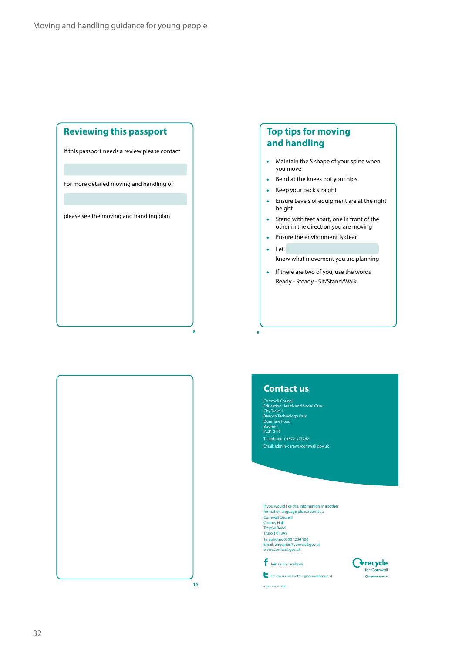#### **Reviewing this passport**

If this passport needs a review please contact

For more detailed moving and handling of

please see the moving and handling plan

#### **Top tips for moving and handling**

- Maintain the S shape of your spine when you move
- Bend at the knees not your hips
- Keep your back straight
- Ensure Levels of equipment are at the right height
- Stand with feet apart, one in front of the other in the direction you are moving
- Ensure the environment is clear
- Let

**9**

know what movement you are planning

• If there are two of you, use the words Ready - Steady - Sit/Stand/Walk



format or language please contact: Cornwall Council County Hall Treyew Road Truro TR1 3AY Telephone: 0300 1234 100 Email: enquiries@cornwall.gov.uk www.cornwall.gov.uk

If you would like this information in another

**Contact us**

Dunmere Road Bodmin PL31 2FR Telephone: 01872 327262 Email: admin-carew@cornwall.gov.uk

Education Health and Social Care Chy Trevail Beacon Technology Park

Join us on Facebook

41533 09/16 - MHP

Follow us on Twitter @cornwallcouncil



**10**

**8**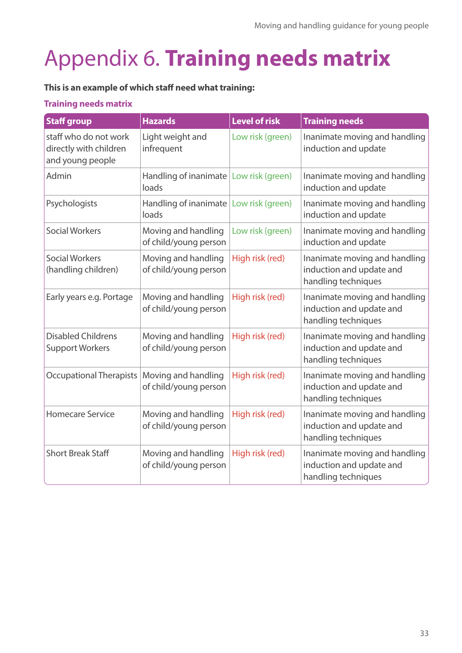### Appendix 6. **Training needs matrix**

#### **This is an example of which staff need what training:**

#### **Training needs matrix**

| <b>Staff group</b>                                                  | <b>Hazards</b>                               | <b>Level of risk</b> | <b>Training needs</b>                                                            |
|---------------------------------------------------------------------|----------------------------------------------|----------------------|----------------------------------------------------------------------------------|
| staff who do not work<br>directly with children<br>and young people | Light weight and<br>infrequent               | Low risk (green)     | Inanimate moving and handling<br>induction and update                            |
| Admin                                                               | Handling of inanimate<br>loads               | Low risk (green)     | Inanimate moving and handling<br>induction and update                            |
| Psychologists                                                       | Handling of inanimate<br>loads               | Low risk (green)     | Inanimate moving and handling<br>induction and update                            |
| <b>Social Workers</b>                                               | Moving and handling<br>of child/young person | Low risk (green)     | Inanimate moving and handling<br>induction and update                            |
| <b>Social Workers</b><br>(handling children)                        | Moving and handling<br>of child/young person | High risk (red)      | Inanimate moving and handling<br>induction and update and<br>handling techniques |
| Early years e.g. Portage                                            | Moving and handling<br>of child/young person | High risk (red)      | Inanimate moving and handling<br>induction and update and<br>handling techniques |
| <b>Disabled Childrens</b><br><b>Support Workers</b>                 | Moving and handling<br>of child/young person | High risk (red)      | Inanimate moving and handling<br>induction and update and<br>handling techniques |
| Occupational Therapists                                             | Moving and handling<br>of child/young person | High risk (red)      | Inanimate moving and handling<br>induction and update and<br>handling techniques |
| <b>Homecare Service</b>                                             | Moving and handling<br>of child/young person | High risk (red)      | Inanimate moving and handling<br>induction and update and<br>handling techniques |
| <b>Short Break Staff</b>                                            | Moving and handling<br>of child/young person | High risk (red)      | Inanimate moving and handling<br>induction and update and<br>handling techniques |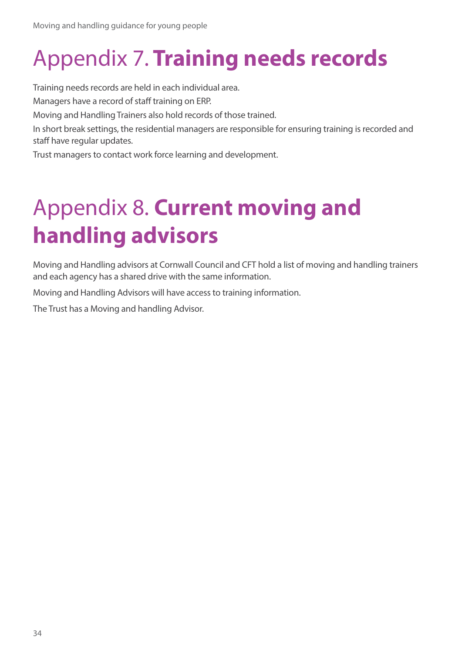### Appendix 7. **Training needs records**

Training needs records are held in each individual area.

Managers have a record of staff training on ERP.

Moving and Handling Trainers also hold records of those trained.

In short break settings, the residential managers are responsible for ensuring training is recorded and staff have regular updates.

Trust managers to contact work force learning and development.

### Appendix 8. **Current moving and handling advisors**

Moving and Handling advisors at Cornwall Council and CFT hold a list of moving and handling trainers and each agency has a shared drive with the same information.

Moving and Handling Advisors will have access to training information.

The Trust has a Moving and handling Advisor.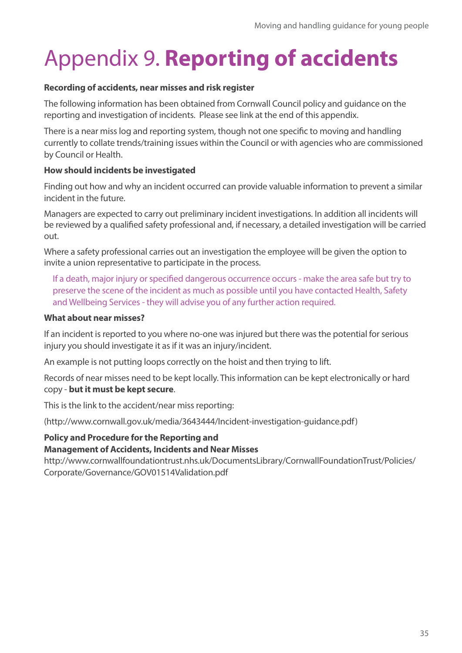### Appendix 9. **Reporting of accidents**

#### **Recording of accidents, near misses and risk register**

The following information has been obtained from Cornwall Council policy and guidance on the reporting and investigation of incidents. Please see link at the end of this appendix.

There is a near miss log and reporting system, though not one specific to moving and handling currently to collate trends/training issues within the Council or with agencies who are commissioned by Council or Health.

#### **How should incidents be investigated**

Finding out how and why an incident occurred can provide valuable information to prevent a similar incident in the future.

Managers are expected to carry out preliminary incident investigations. In addition all incidents will be reviewed by a qualified safety professional and, if necessary, a detailed investigation will be carried out.

Where a safety professional carries out an investigation the employee will be given the option to invite a union representative to participate in the process.

If a death, major injury or specified dangerous occurrence occurs - make the area safe but try to preserve the scene of the incident as much as possible until you have contacted Health, Safety and Wellbeing Services - they will advise you of any further action required.

#### **What about near misses?**

If an incident is reported to you where no-one was injured but there was the potential for serious injury you should investigate it as if it was an injury/incident.

An example is not putting loops correctly on the hoist and then trying to lift.

Records of near misses need to be kept locally. This information can be kept electronically or hard copy - **but it must be kept secure**.

This is the link to the accident/near miss reporting:

(http://www.cornwall.gov.uk/media/3643444/Incident-investigation-guidance.pdf)

#### **Policy and Procedure for the Reporting and**

#### **Management of Accidents, Incidents and Near Misses**

http://www.cornwallfoundationtrust.nhs.uk/DocumentsLibrary/CornwallFoundationTrust/Policies/ Corporate/Governance/GOV01514Validation.pdf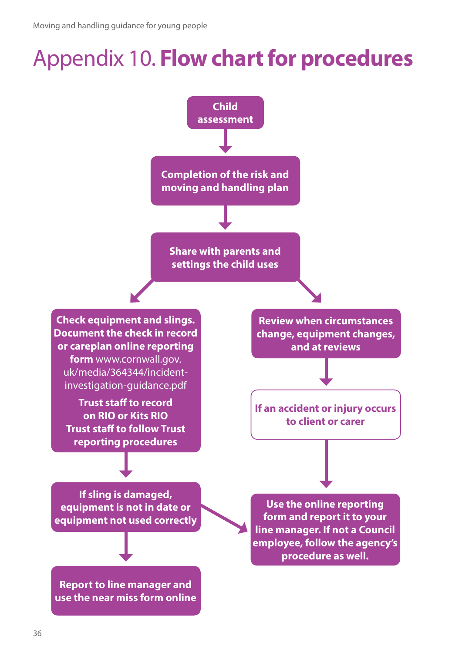### Appendix 10. **Flow chart for procedures**

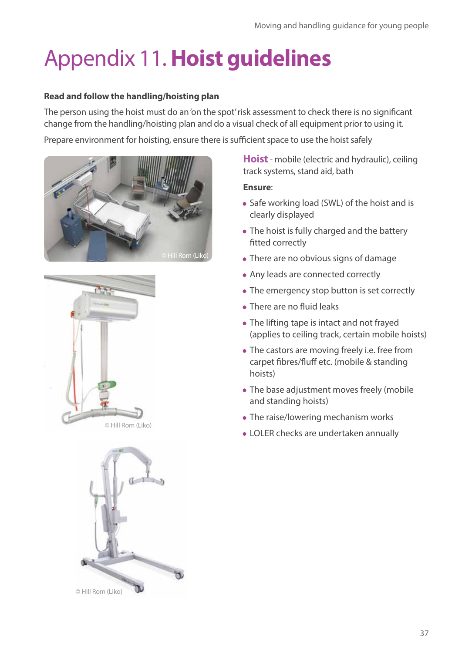# Appendix 11. **Hoist guidelines**

#### **Read and follow the handling/hoisting plan**

The person using the hoist must do an 'on the spot' risk assessment to check there is no significant change from the handling/hoisting plan and do a visual check of all equipment prior to using it.

Prepare environment for hoisting, ensure there is sufficient space to use the hoist safely







**Hoist** - mobile (electric and hydraulic), ceiling track systems, stand aid, bath

#### **Ensure**:

- Safe working load (SWL) of the hoist and is clearly displayed
- The hoist is fully charged and the battery fitted correctly
- There are no obvious signs of damage
- Any leads are connected correctly
- The emergency stop button is set correctly
- There are no fluid leaks
- The lifting tape is intact and not frayed (applies to ceiling track, certain mobile hoists)
- The castors are moving freely i.e. free from carpet fibres/fluff etc. (mobile & standing hoists)
- The base adjustment moves freely (mobile and standing hoists)
- The raise/lowering mechanism works
- LOLER checks are undertaken annually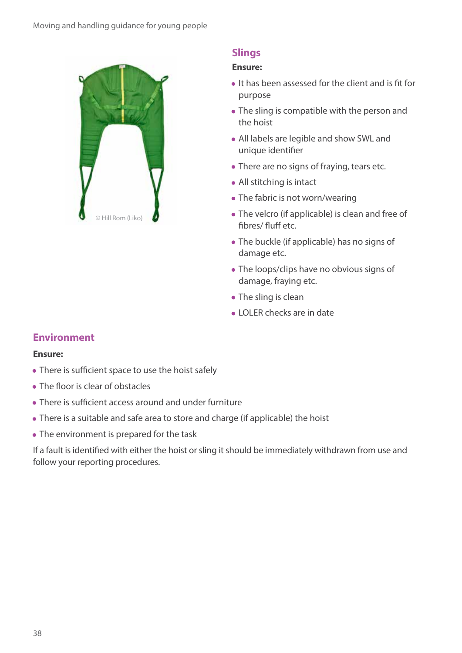

#### **Slings**

#### **Ensure:**

- It has been assessed for the client and is fit for purpose
- The sling is compatible with the person and the hoist
- All labels are legible and show SWL and unique identifier
- There are no signs of fraying, tears etc.
- All stitching is intact
- The fabric is not worn/wearing
- The velcro (if applicable) is clean and free of fibres/ fluff etc.
- The buckle (if applicable) has no signs of damage etc.
- The loops/clips have no obvious signs of damage, fraying etc.
- The sling is clean
- LOLER checks are in date

#### **Environment**

#### **Ensure:**

- There is sufficient space to use the hoist safely
- The floor is clear of obstacles
- There is sufficient access around and under furniture
- There is a suitable and safe area to store and charge (if applicable) the hoist
- The environment is prepared for the task

If a fault is identified with either the hoist or sling it should be immediately withdrawn from use and follow your reporting procedures.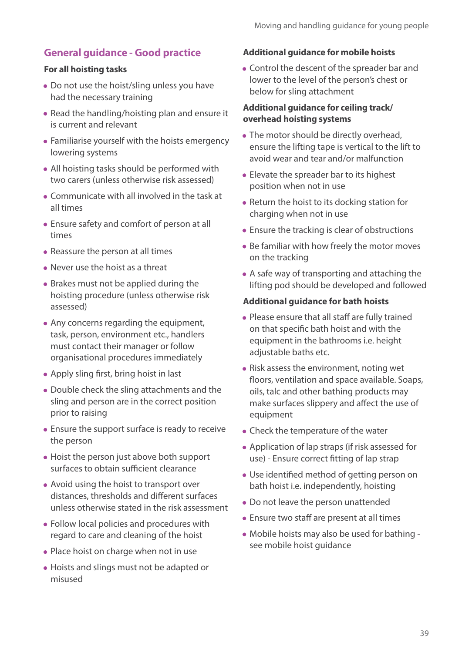#### **General guidance - Good practice**

#### **For all hoisting tasks**

- Do not use the hoist/sling unless you have had the necessary training
- Read the handling/hoisting plan and ensure it is current and relevant
- Familiarise yourself with the hoists emergency lowering systems
- All hoisting tasks should be performed with two carers (unless otherwise risk assessed)
- Communicate with all involved in the task at all times
- Ensure safety and comfort of person at all times
- Reassure the person at all times
- Never use the hoist as a threat
- Brakes must not be applied during the hoisting procedure (unless otherwise risk assessed)
- Any concerns regarding the equipment, task, person, environment etc., handlers must contact their manager or follow organisational procedures immediately
- Apply sling first, bring hoist in last
- Double check the sling attachments and the sling and person are in the correct position prior to raising
- Ensure the support surface is ready to receive the person
- Hoist the person just above both support surfaces to obtain sufficient clearance
- Avoid using the hoist to transport over distances, thresholds and different surfaces unless otherwise stated in the risk assessment
- Follow local policies and procedures with regard to care and cleaning of the hoist
- Place hoist on charge when not in use
- Hoists and slings must not be adapted or misused

#### **Additional guidance for mobile hoists**

• Control the descent of the spreader bar and lower to the level of the person's chest or below for sling attachment

#### **Additional guidance for ceiling track/ overhead hoisting systems**

- The motor should be directly overhead, ensure the lifting tape is vertical to the lift to avoid wear and tear and/or malfunction
- Elevate the spreader bar to its highest position when not in use
- Return the hoist to its docking station for charging when not in use
- Ensure the tracking is clear of obstructions
- Be familiar with how freely the motor moves on the tracking
- A safe way of transporting and attaching the lifting pod should be developed and followed

#### **Additional guidance for bath hoists**

- Please ensure that all staff are fully trained on that specific bath hoist and with the equipment in the bathrooms i.e. height adjustable baths etc.
- Risk assess the environment, noting wet floors, ventilation and space available. Soaps, oils, talc and other bathing products may make surfaces slippery and affect the use of equipment
- Check the temperature of the water
- Application of lap straps (if risk assessed for use) - Ensure correct fitting of lap strap
- Use identified method of getting person on bath hoist i.e. independently, hoisting
- Do not leave the person unattended
- Ensure two staff are present at all times
- Mobile hoists may also be used for bathing see mobile hoist guidance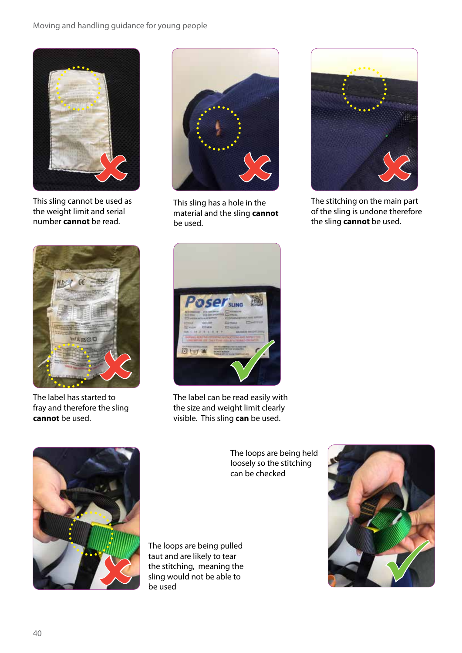#### Moving and handling guidance for young people



This sling cannot be used as the weight limit and serial number **cannot** be read.



The label has started to fray and therefore the sling **cannot** be used.



This sling has a hole in the material and the sling **cannot** be used.



The stitching on the main part of the sling is undone therefore the sling **cannot** be used.



the size and weight limit clearly visible. This sling **can** be used.



The loops are being pulled taut and are likely to tear the stitching, meaning the sling would not be able to be used

The loops are being held loosely so the stitching can be checked

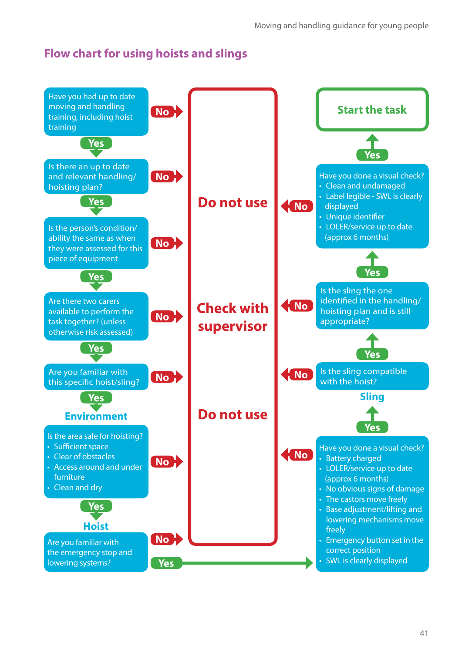#### **Flow chart for using hoists and slings**